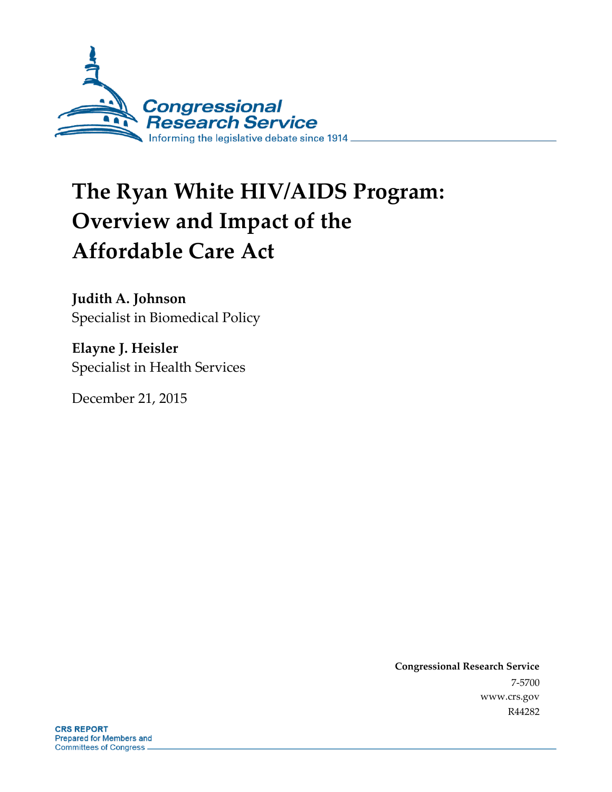

# **The Ryan White HIV/AIDS Program: Overview and Impact of the Affordable Care Act**

**Judith A. Johnson** Specialist in Biomedical Policy

**Elayne J. Heisler** Specialist in Health Services

December 21, 2015

**Congressional Research Service** 7-5700 www.crs.gov R44282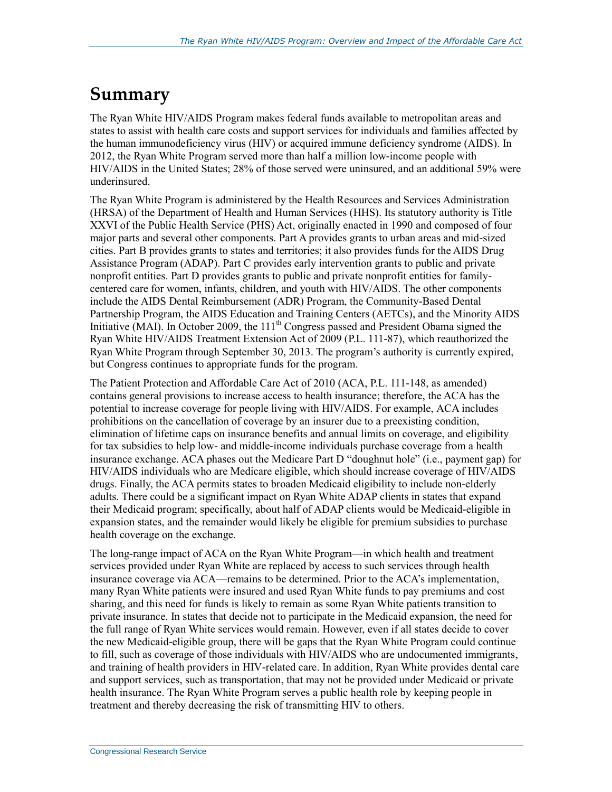## **Summary**

The Ryan White HIV/AIDS Program makes federal funds available to metropolitan areas and states to assist with health care costs and support services for individuals and families affected by the human immunodeficiency virus (HIV) or acquired immune deficiency syndrome (AIDS). In 2012, the Ryan White Program served more than half a million low-income people with HIV/AIDS in the United States; 28% of those served were uninsured, and an additional 59% were underinsured.

The Ryan White Program is administered by the Health Resources and Services Administration (HRSA) of the Department of Health and Human Services (HHS). Its statutory authority is Title XXVI of the Public Health Service (PHS) Act, originally enacted in 1990 and composed of four major parts and several other components. Part A provides grants to urban areas and mid-sized cities. Part B provides grants to states and territories; it also provides funds for the AIDS Drug Assistance Program (ADAP). Part C provides early intervention grants to public and private nonprofit entities. Part D provides grants to public and private nonprofit entities for familycentered care for women, infants, children, and youth with HIV/AIDS. The other components include the AIDS Dental Reimbursement (ADR) Program, the Community-Based Dental Partnership Program, the AIDS Education and Training Centers (AETCs), and the Minority AIDS Initiative (MAI). In October 2009, the 111<sup>th</sup> Congress passed and President Obama signed the Ryan White HIV/AIDS Treatment Extension Act of 2009 (P.L. 111-87), which reauthorized the Ryan White Program through September 30, 2013. The program's authority is currently expired, but Congress continues to appropriate funds for the program.

The Patient Protection and Affordable Care Act of 2010 (ACA, P.L. 111-148, as amended) contains general provisions to increase access to health insurance; therefore, the ACA has the potential to increase coverage for people living with HIV/AIDS. For example, ACA includes prohibitions on the cancellation of coverage by an insurer due to a preexisting condition, elimination of lifetime caps on insurance benefits and annual limits on coverage, and eligibility for tax subsidies to help low- and middle-income individuals purchase coverage from a health insurance exchange. ACA phases out the Medicare Part D "doughnut hole" (i.e., payment gap) for HIV/AIDS individuals who are Medicare eligible, which should increase coverage of HIV/AIDS drugs. Finally, the ACA permits states to broaden Medicaid eligibility to include non-elderly adults. There could be a significant impact on Ryan White ADAP clients in states that expand their Medicaid program; specifically, about half of ADAP clients would be Medicaid-eligible in expansion states, and the remainder would likely be eligible for premium subsidies to purchase health coverage on the exchange.

The long-range impact of ACA on the Ryan White Program—in which health and treatment services provided under Ryan White are replaced by access to such services through health insurance coverage via ACA—remains to be determined. Prior to the ACA's implementation, many Ryan White patients were insured and used Ryan White funds to pay premiums and cost sharing, and this need for funds is likely to remain as some Ryan White patients transition to private insurance. In states that decide not to participate in the Medicaid expansion, the need for the full range of Ryan White services would remain. However, even if all states decide to cover the new Medicaid-eligible group, there will be gaps that the Ryan White Program could continue to fill, such as coverage of those individuals with HIV/AIDS who are undocumented immigrants, and training of health providers in HIV-related care. In addition, Ryan White provides dental care and support services, such as transportation, that may not be provided under Medicaid or private health insurance. The Ryan White Program serves a public health role by keeping people in treatment and thereby decreasing the risk of transmitting HIV to others.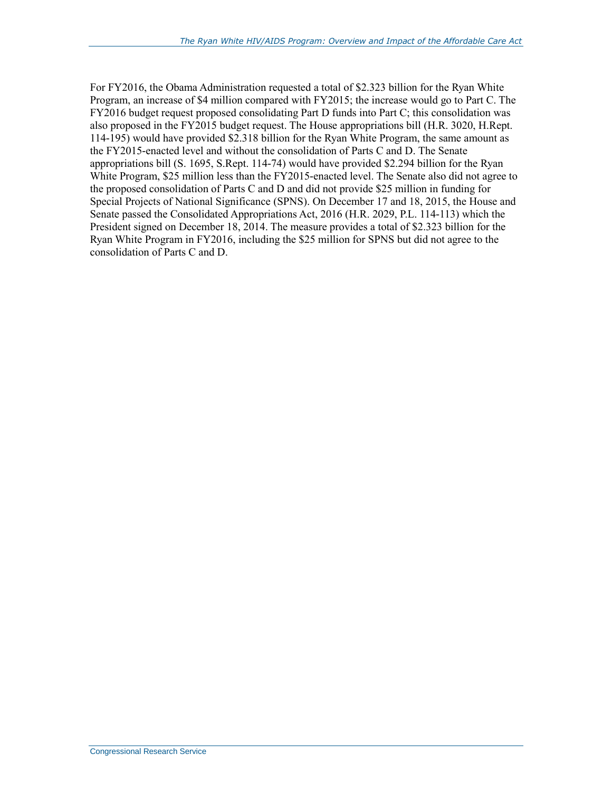For FY2016, the Obama Administration requested a total of \$2.323 billion for the Ryan White Program, an increase of \$4 million compared with FY2015; the increase would go to Part C. The FY2016 budget request proposed consolidating Part D funds into Part C; this consolidation was also proposed in the FY2015 budget request. The House appropriations bill (H.R. 3020, H.Rept. 114-195) would have provided \$2.318 billion for the Ryan White Program, the same amount as the FY2015-enacted level and without the consolidation of Parts C and D. The Senate appropriations bill (S. 1695, S.Rept. 114-74) would have provided \$2.294 billion for the Ryan White Program, \$25 million less than the FY2015-enacted level. The Senate also did not agree to the proposed consolidation of Parts C and D and did not provide \$25 million in funding for Special Projects of National Significance (SPNS). On December 17 and 18, 2015, the House and Senate passed the Consolidated Appropriations Act, 2016 (H.R. 2029, P.L. 114-113) which the President signed on December 18, 2014. The measure provides a total of \$2.323 billion for the Ryan White Program in FY2016, including the \$25 million for SPNS but did not agree to the consolidation of Parts C and D.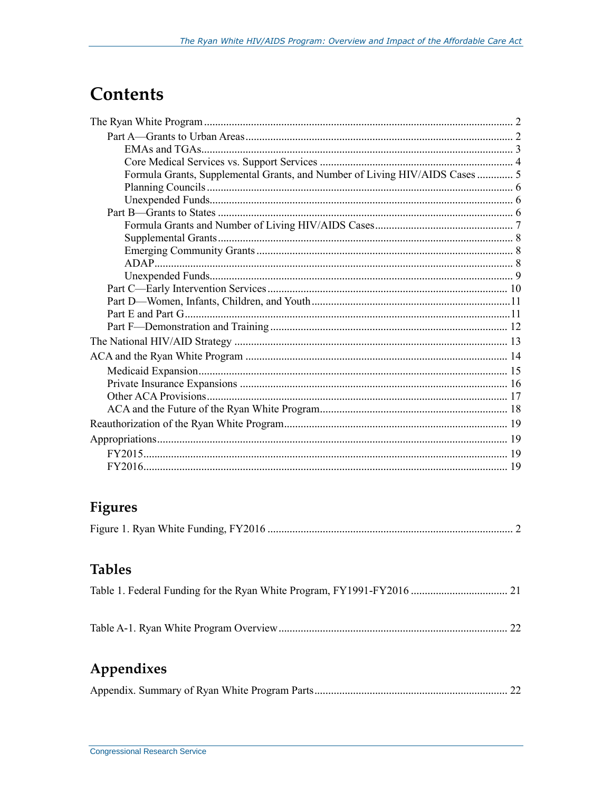## **Contents**

| Formula Grants, Supplemental Grants, and Number of Living HIV/AIDS Cases  5 |  |
|-----------------------------------------------------------------------------|--|
|                                                                             |  |
|                                                                             |  |
|                                                                             |  |
|                                                                             |  |
|                                                                             |  |
|                                                                             |  |
|                                                                             |  |
|                                                                             |  |
|                                                                             |  |
|                                                                             |  |
|                                                                             |  |
|                                                                             |  |
|                                                                             |  |
|                                                                             |  |
|                                                                             |  |
|                                                                             |  |
|                                                                             |  |
|                                                                             |  |
|                                                                             |  |
|                                                                             |  |
|                                                                             |  |
|                                                                             |  |

## Figures

|--|--|--|

### **Tables**

|--|--|

## Appendixes

|--|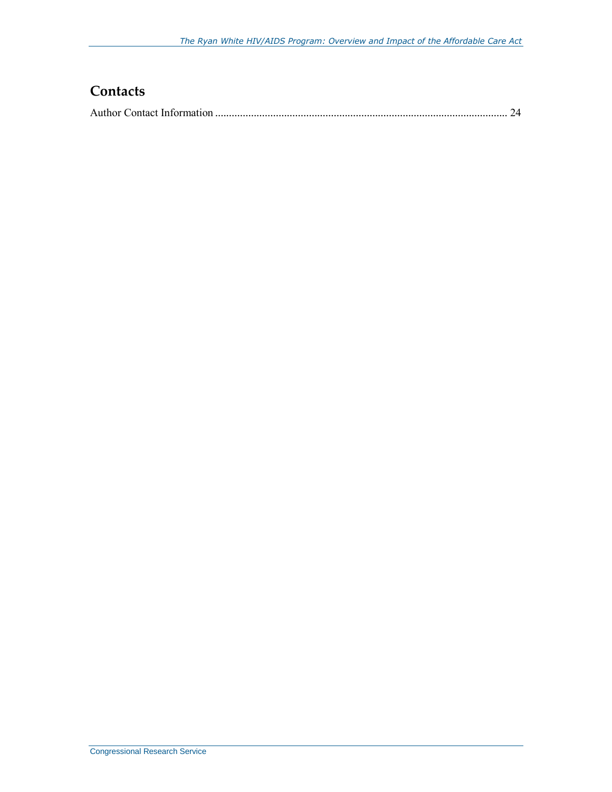## **Contacts**

|--|--|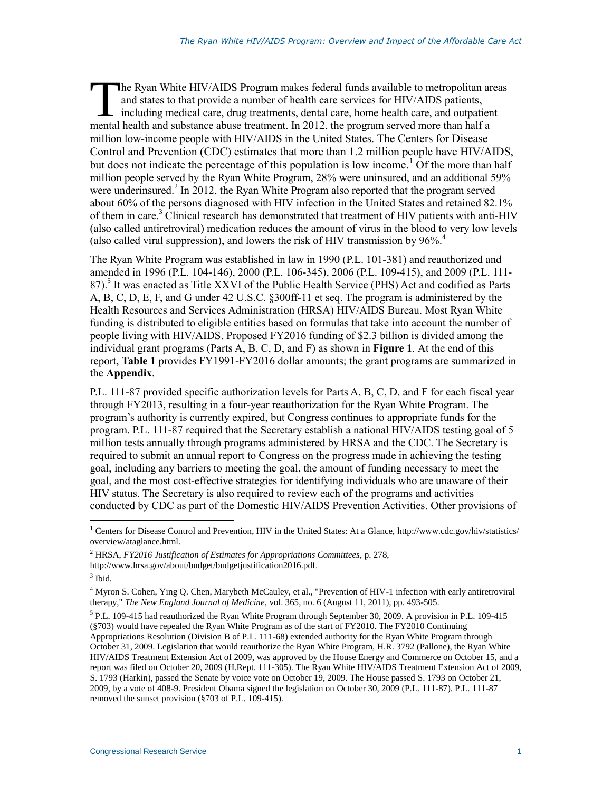he Ryan White HIV/AIDS Program makes federal funds available to metropolitan areas and states to that provide a number of health care services for HIV/AIDS patients, including medical care, drug treatments, dental care, home health care, and outpatient The Ryan White HIV/AIDS Program makes federal funds available to metropolitan are and states to that provide a number of health care services for HIV/AIDS patients, including medical care, drug treatments, dental care, hom million low-income people with HIV/AIDS in the United States. The Centers for Disease Control and Prevention (CDC) estimates that more than 1.2 million people have HIV/AIDS, but does not indicate the percentage of this population is low income.<sup>1</sup> Of the more than half million people served by the Ryan White Program, 28% were uninsured, and an additional 59% were underinsured.<sup>2</sup> In 2012, the Ryan White Program also reported that the program served about 60% of the persons diagnosed with HIV infection in the United States and retained 82.1% of them in care.<sup>3</sup> Clinical research has demonstrated that treatment of HIV patients with anti-HIV (also called antiretroviral) medication reduces the amount of virus in the blood to very low levels (also called viral suppression), and lowers the risk of HIV transmission by  $96\%$ <sup>4</sup>

The Ryan White Program was established in law in 1990 (P.L. 101-381) and reauthorized and amended in 1996 (P.L. 104-146), 2000 (P.L. 106-345), 2006 (P.L. 109-415), and 2009 (P.L. 111- 87).<sup>5</sup> It was enacted as Title XXVI of the Public Health Service (PHS) Act and codified as Parts A, B, C, D, E, F, and G under 42 U.S.C. §300ff-11 et seq. The program is administered by the Health Resources and Services Administration (HRSA) HIV/AIDS Bureau. Most Ryan White funding is distributed to eligible entities based on formulas that take into account the number of people living with HIV/AIDS. Proposed FY2016 funding of \$2.3 billion is divided among the individual grant programs (Parts A, B, C, D, and F) as shown in **[Figure 1](#page-6-0)**. At the end of this report, **[Table 1](#page-25-0)** provides FY1991-FY2016 dollar amounts; the grant programs are summarized in the **[Appendix](#page-26-0)**.

P.L. 111-87 provided specific authorization levels for Parts A, B, C, D, and F for each fiscal year through FY2013, resulting in a four-year reauthorization for the Ryan White Program. The program's authority is currently expired, but Congress continues to appropriate funds for the program. P.L. 111-87 required that the Secretary establish a national HIV/AIDS testing goal of 5 million tests annually through programs administered by HRSA and the CDC. The Secretary is required to submit an annual report to Congress on the progress made in achieving the testing goal, including any barriers to meeting the goal, the amount of funding necessary to meet the goal, and the most cost-effective strategies for identifying individuals who are unaware of their HIV status. The Secretary is also required to review each of the programs and activities conducted by CDC as part of the Domestic HIV/AIDS Prevention Activities. Other provisions of

<sup>&</sup>lt;sup>1</sup> Centers for Disease Control and Prevention, HIV in the United States: At a Glance, http://www.cdc.gov/hiv/statistics/ overview/ataglance.html.

<sup>2</sup> HRSA, *FY2016 Justification of Estimates for Appropriations Committees*, p. 278,

http://www.hrsa.gov/about/budget/budgetjustification2016.pdf.

<sup>3</sup> Ibid.

<sup>4</sup> Myron S. Cohen, Ying Q. Chen, Marybeth McCauley, et al., "Prevention of HIV-1 infection with early antiretroviral therapy," *The New England Journal of Medicine*, vol. 365, no. 6 (August 11, 2011), pp. 493-505.

<sup>&</sup>lt;sup>5</sup> P.L. 109-415 had reauthorized the Ryan White Program through September 30, 2009. A provision in P.L. 109-415 (§703) would have repealed the Ryan White Program as of the start of FY2010. The FY2010 Continuing Appropriations Resolution (Division B of P.L. 111-68) extended authority for the Ryan White Program through October 31, 2009. Legislation that would reauthorize the Ryan White Program, H.R. 3792 (Pallone), the Ryan White HIV/AIDS Treatment Extension Act of 2009, was approved by the House Energy and Commerce on October 15, and a report was filed on October 20, 2009 (H.Rept. 111-305). The Ryan White HIV/AIDS Treatment Extension Act of 2009, S. 1793 (Harkin), passed the Senate by voice vote on October 19, 2009. The House passed S. 1793 on October 21, 2009, by a vote of 408-9. President Obama signed the legislation on October 30, 2009 (P.L. 111-87). P.L. 111-87 removed the sunset provision (§703 of P.L. 109-415).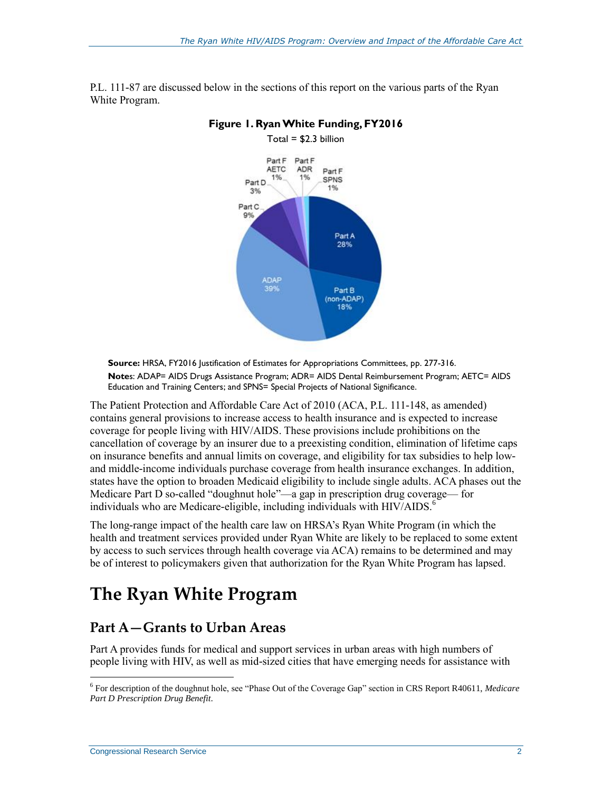

<span id="page-6-0"></span>P.L. 111-87 are discussed below in the sections of this report on the various parts of the Ryan White Program.

**Figure 1. Ryan White Funding, FY2016**

**Source:** HRSA, FY2016 Justification of Estimates for Appropriations Committees, pp. 277-316.

**Note**s: ADAP= AIDS Drugs Assistance Program; ADR= AIDS Dental Reimbursement Program; AETC= AIDS Education and Training Centers; and SPNS= Special Projects of National Significance.

The Patient Protection and Affordable Care Act of 2010 (ACA, P.L. 111-148, as amended) contains general provisions to increase access to health insurance and is expected to increase coverage for people living with HIV/AIDS. These provisions include prohibitions on the cancellation of coverage by an insurer due to a preexisting condition, elimination of lifetime caps on insurance benefits and annual limits on coverage, and eligibility for tax subsidies to help lowand middle-income individuals purchase coverage from health insurance exchanges. In addition, states have the option to broaden Medicaid eligibility to include single adults. ACA phases out the Medicare Part D so-called "doughnut hole"—a gap in prescription drug coverage— for individuals who are Medicare-eligible, including individuals with HIV/AIDS.<sup>6</sup>

The long-range impact of the health care law on HRSA's Ryan White Program (in which the health and treatment services provided under Ryan White are likely to be replaced to some extent by access to such services through health coverage via ACA) remains to be determined and may be of interest to policymakers given that authorization for the Ryan White Program has lapsed.

## **The Ryan White Program**

### **Part A—Grants to Urban Areas**

Part A provides funds for medical and support services in urban areas with high numbers of people living with HIV, as well as mid-sized cities that have emerging needs for assistance with

<sup>6</sup> For description of the doughnut hole, see "Phase Out of the Coverage Gap" section in CRS Report R40611, *Medicare Part D Prescription Drug Benefit*.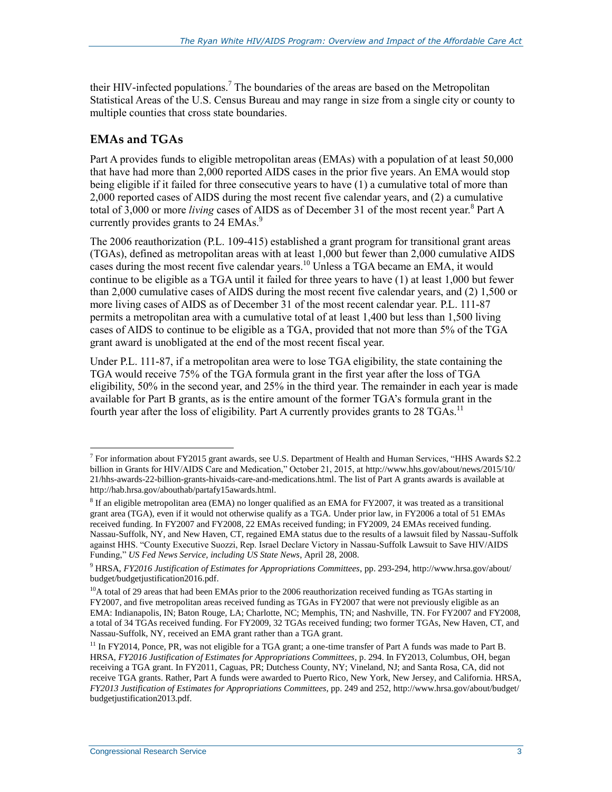their HIV-infected populations.<sup>7</sup> The boundaries of the areas are based on the Metropolitan Statistical Areas of the U.S. Census Bureau and may range in size from a single city or county to multiple counties that cross state boundaries.

#### **EMAs and TGAs**

 $\overline{a}$ 

Part A provides funds to eligible metropolitan areas (EMAs) with a population of at least 50,000 that have had more than 2,000 reported AIDS cases in the prior five years. An EMA would stop being eligible if it failed for three consecutive years to have (1) a cumulative total of more than 2,000 reported cases of AIDS during the most recent five calendar years, and (2) a cumulative total of 3,000 or more *living* cases of AIDS as of December 31 of the most recent year.<sup>8</sup> Part A currently provides grants to 24 EMAs.<sup>9</sup>

The 2006 reauthorization (P.L. 109-415) established a grant program for transitional grant areas (TGAs), defined as metropolitan areas with at least 1,000 but fewer than 2,000 cumulative AIDS cases during the most recent five calendar years.<sup>10</sup> Unless a TGA became an EMA, it would continue to be eligible as a TGA until it failed for three years to have (1) at least 1,000 but fewer than 2,000 cumulative cases of AIDS during the most recent five calendar years, and (2) 1,500 or more living cases of AIDS as of December 31 of the most recent calendar year. P.L. 111-87 permits a metropolitan area with a cumulative total of at least 1,400 but less than 1,500 living cases of AIDS to continue to be eligible as a TGA, provided that not more than 5% of the TGA grant award is unobligated at the end of the most recent fiscal year.

Under P.L. 111-87, if a metropolitan area were to lose TGA eligibility, the state containing the TGA would receive 75% of the TGA formula grant in the first year after the loss of TGA eligibility, 50% in the second year, and 25% in the third year. The remainder in each year is made available for Part B grants, as is the entire amount of the former TGA's formula grant in the fourth year after the loss of eligibility. Part A currently provides grants to 28 TGAs.<sup>11</sup>

<sup>&</sup>lt;sup>7</sup> For information about FY2015 grant awards, see U.S. Department of Health and Human Services, "HHS Awards \$2.2 billion in Grants for HIV/AIDS Care and Medication," October 21, 2015, at http://www.hhs.gov/about/news/2015/10/ 21/hhs-awards-22-billion-grants-hivaids-care-and-medications.html. The list of Part A grants awards is available at http://hab.hrsa.gov/abouthab/partafy15awards.html.

<sup>&</sup>lt;sup>8</sup> If an eligible metropolitan area (EMA) no longer qualified as an EMA for FY2007, it was treated as a transitional grant area (TGA), even if it would not otherwise qualify as a TGA. Under prior law, in FY2006 a total of 51 EMAs received funding. In FY2007 and FY2008, 22 EMAs received funding; in FY2009, 24 EMAs received funding. Nassau-Suffolk, NY, and New Haven, CT, regained EMA status due to the results of a lawsuit filed by Nassau-Suffolk against HHS. "County Executive Suozzi, Rep. Israel Declare Victory in Nassau-Suffolk Lawsuit to Save HIV/AIDS Funding," *US Fed News Service, including US State News*, April 28, 2008.

<sup>9</sup> HRSA, *FY2016 Justification of Estimates for Appropriations Committees*, pp. 293-294, http://www.hrsa.gov/about/ budget/budgetjustification2016.pdf.

 $10A$  total of 29 areas that had been EMAs prior to the 2006 reauthorization received funding as TGAs starting in FY2007, and five metropolitan areas received funding as TGAs in FY2007 that were not previously eligible as an EMA: Indianapolis, IN; Baton Rouge, LA; Charlotte, NC; Memphis, TN; and Nashville, TN. For FY2007 and FY2008, a total of 34 TGAs received funding. For FY2009, 32 TGAs received funding; two former TGAs, New Haven, CT, and Nassau-Suffolk, NY, received an EMA grant rather than a TGA grant.

 $11$  In FY2014, Ponce, PR, was not eligible for a TGA grant; a one-time transfer of Part A funds was made to Part B. HRSA, *FY2016 Justification of Estimates for Appropriations Committees*, p. 294. In FY2013, Columbus, OH, began receiving a TGA grant. In FY2011, Caguas, PR; Dutchess County, NY; Vineland, NJ; and Santa Rosa, CA, did not receive TGA grants. Rather, Part A funds were awarded to Puerto Rico, New York, New Jersey, and California. HRSA, *FY2013 Justification of Estimates for Appropriations Committees*, pp. 249 and 252, http://www.hrsa.gov/about/budget/ budgetjustification2013.pdf.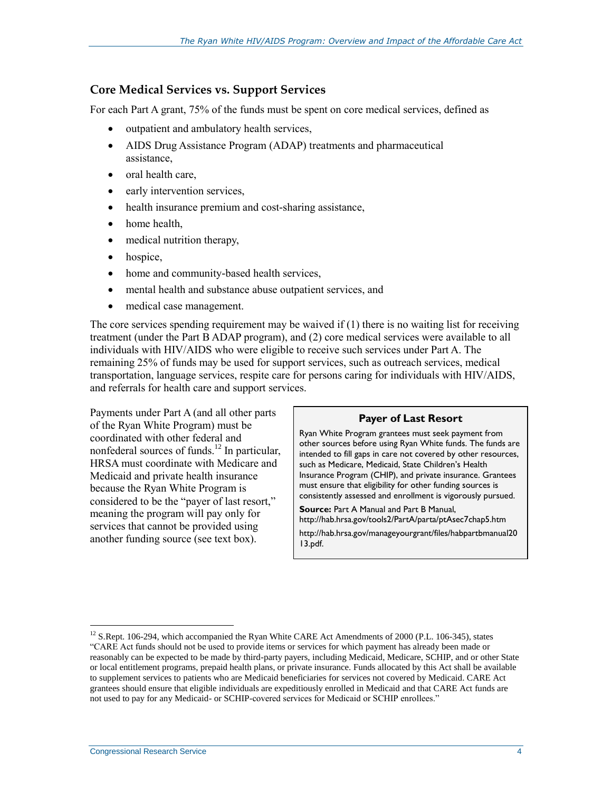#### <span id="page-8-0"></span>**Core Medical Services vs. Support Services**

For each Part A grant, 75% of the funds must be spent on core medical services, defined as

- outpatient and ambulatory health services,
- AIDS Drug Assistance Program (ADAP) treatments and pharmaceutical assistance,
- $\bullet$  oral health care.
- early intervention services,
- health insurance premium and cost-sharing assistance,
- home health,
- medical nutrition therapy,
- hospice,
- home and community-based health services,
- mental health and substance abuse outpatient services, and
- medical case management.

The core services spending requirement may be waived if (1) there is no waiting list for receiving treatment (under the Part B ADAP program), and (2) core medical services were available to all individuals with HIV/AIDS who were eligible to receive such services under Part A. The remaining 25% of funds may be used for support services, such as outreach services, medical transportation, language services, respite care for persons caring for individuals with HIV/AIDS, and referrals for health care and support services.

Payments under Part A (and all other parts of the Ryan White Program) must be coordinated with other federal and nonfederal sources of funds. <sup>12</sup> In particular, HRSA must coordinate with Medicare and Medicaid and private health insurance because the Ryan White Program is considered to be the "payer of last resort," meaning the program will pay only for services that cannot be provided using another funding source (see text box).

#### **Payer of Last Resort**

Ryan White Program grantees must seek payment from other sources before using Ryan White funds. The funds are intended to fill gaps in care not covered by other resources, such as Medicare, Medicaid, State Children's Health Insurance Program (CHIP), and private insurance. Grantees must ensure that eligibility for other funding sources is consistently assessed and enrollment is vigorously pursued.

**Source:** Part A Manual and Part B Manual, http://hab.hrsa.gov/tools2/PartA/parta/ptAsec7chap5.htm http://hab.hrsa.gov/manageyourgrant/files/habpartbmanual20 13.pdf.

<sup>&</sup>lt;sup>12</sup> S.Rept. 106-294, which accompanied the Ryan White CARE Act Amendments of 2000 (P.L. 106-345), states "CARE Act funds should not be used to provide items or services for which payment has already been made or reasonably can be expected to be made by third-party payers, including Medicaid, Medicare, SCHIP, and or other State or local entitlement programs, prepaid health plans, or private insurance. Funds allocated by this Act shall be available to supplement services to patients who are Medicaid beneficiaries for services not covered by Medicaid. CARE Act grantees should ensure that eligible individuals are expeditiously enrolled in Medicaid and that CARE Act funds are not used to pay for any Medicaid- or SCHIP-covered services for Medicaid or SCHIP enrollees."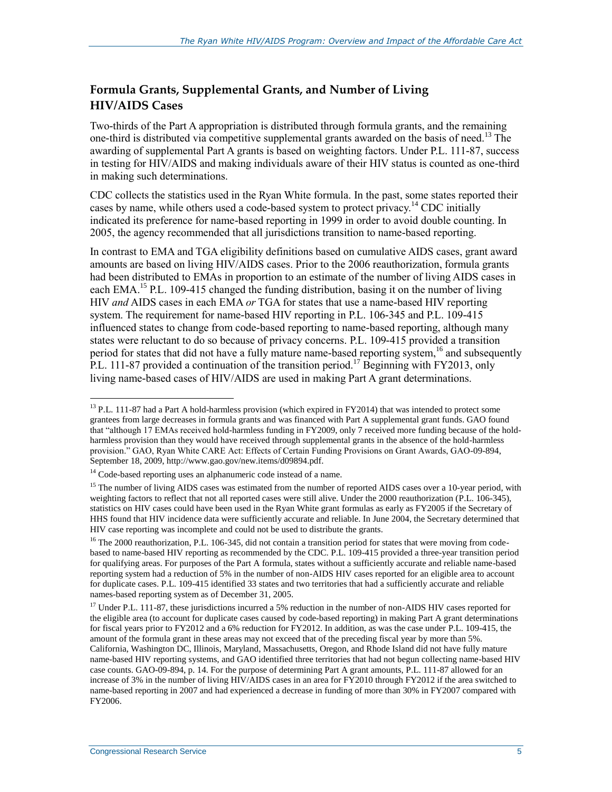#### **Formula Grants, Supplemental Grants, and Number of Living HIV/AIDS Cases**

Two-thirds of the Part A appropriation is distributed through formula grants, and the remaining one-third is distributed via competitive supplemental grants awarded on the basis of need.<sup>13</sup> The awarding of supplemental Part A grants is based on weighting factors. Under P.L. 111-87, success in testing for HIV/AIDS and making individuals aware of their HIV status is counted as one-third in making such determinations.

CDC collects the statistics used in the Ryan White formula. In the past, some states reported their cases by name, while others used a code-based system to protect privacy.<sup>14</sup> CDC initially indicated its preference for name-based reporting in 1999 in order to avoid double counting. In 2005, the agency recommended that all jurisdictions transition to name-based reporting.

In contrast to EMA and TGA eligibility definitions based on cumulative AIDS cases, grant award amounts are based on living HIV/AIDS cases. Prior to the 2006 reauthorization, formula grants had been distributed to EMAs in proportion to an estimate of the number of living AIDS cases in each EMA.<sup>15</sup> P.L. 109-415 changed the funding distribution, basing it on the number of living HIV *and* AIDS cases in each EMA *or* TGA for states that use a name-based HIV reporting system. The requirement for name-based HIV reporting in P.L. 106-345 and P.L. 109-415 influenced states to change from code-based reporting to name-based reporting, although many states were reluctant to do so because of privacy concerns. P.L. 109-415 provided a transition period for states that did not have a fully mature name-based reporting system, <sup>16</sup> and subsequently P.L. 111-87 provided a continuation of the transition period.<sup>17</sup> Beginning with FY2013, only living name-based cases of HIV/AIDS are used in making Part A grant determinations.

<sup>&</sup>lt;sup>13</sup> P.L. 111-87 had a Part A hold-harmless provision (which expired in FY2014) that was intended to protect some grantees from large decreases in formula grants and was financed with Part A supplemental grant funds. GAO found that "although 17 EMAs received hold-harmless funding in FY2009, only 7 received more funding because of the holdharmless provision than they would have received through supplemental grants in the absence of the hold-harmless provision." GAO, Ryan White CARE Act: Effects of Certain Funding Provisions on Grant Awards, GAO-09-894, September 18, 2009, http://www.gao.gov/new.items/d09894.pdf.

<sup>&</sup>lt;sup>14</sup> Code-based reporting uses an alphanumeric code instead of a name.

<sup>&</sup>lt;sup>15</sup> The number of living AIDS cases was estimated from the number of reported AIDS cases over a 10-year period, with weighting factors to reflect that not all reported cases were still alive. Under the 2000 reauthorization (P.L. 106-345), statistics on HIV cases could have been used in the Ryan White grant formulas as early as FY2005 if the Secretary of HHS found that HIV incidence data were sufficiently accurate and reliable. In June 2004, the Secretary determined that HIV case reporting was incomplete and could not be used to distribute the grants.

 $16$  The 2000 reauthorization, P.L. 106-345, did not contain a transition period for states that were moving from codebased to name-based HIV reporting as recommended by the CDC. P.L. 109-415 provided a three-year transition period for qualifying areas. For purposes of the Part A formula, states without a sufficiently accurate and reliable name-based reporting system had a reduction of 5% in the number of non-AIDS HIV cases reported for an eligible area to account for duplicate cases. P.L. 109-415 identified 33 states and two territories that had a sufficiently accurate and reliable names-based reporting system as of December 31, 2005.

<sup>&</sup>lt;sup>17</sup> Under P.L. 111-87, these jurisdictions incurred a 5% reduction in the number of non-AIDS HIV cases reported for the eligible area (to account for duplicate cases caused by code-based reporting) in making Part A grant determinations for fiscal years prior to FY2012 and a 6% reduction for FY2012. In addition, as was the case under P.L. 109-415, the amount of the formula grant in these areas may not exceed that of the preceding fiscal year by more than 5%. California, Washington DC, Illinois, Maryland, Massachusetts, Oregon, and Rhode Island did not have fully mature name-based HIV reporting systems, and GAO identified three territories that had not begun collecting name-based HIV case counts. GAO-09-894, p. 14. For the purpose of determining Part A grant amounts, P.L. 111-87 allowed for an increase of 3% in the number of living HIV/AIDS cases in an area for FY2010 through FY2012 if the area switched to name-based reporting in 2007 and had experienced a decrease in funding of more than 30% in FY2007 compared with FY2006.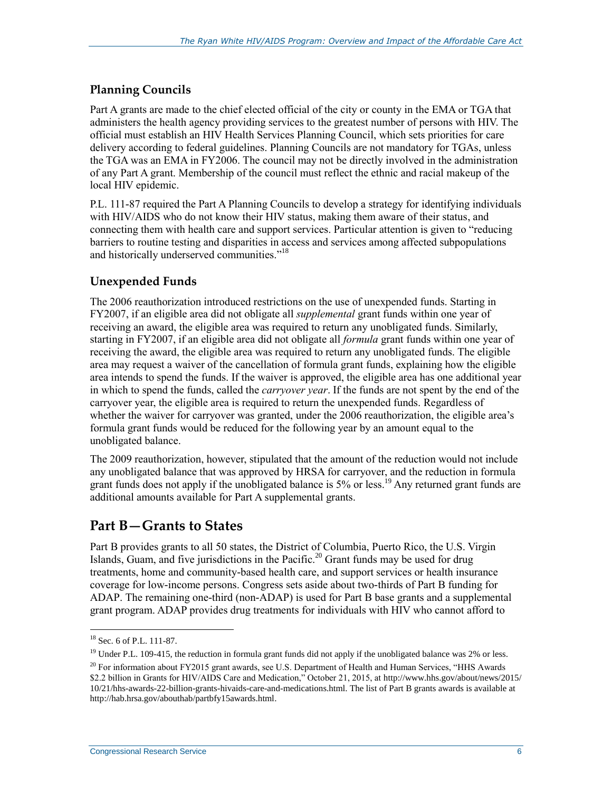#### **Planning Councils**

Part A grants are made to the chief elected official of the city or county in the EMA or TGA that administers the health agency providing services to the greatest number of persons with HIV. The official must establish an HIV Health Services Planning Council, which sets priorities for care delivery according to federal guidelines. Planning Councils are not mandatory for TGAs, unless the TGA was an EMA in FY2006. The council may not be directly involved in the administration of any Part A grant. Membership of the council must reflect the ethnic and racial makeup of the local HIV epidemic.

P.L. 111-87 required the Part A Planning Councils to develop a strategy for identifying individuals with HIV/AIDS who do not know their HIV status, making them aware of their status, and connecting them with health care and support services. Particular attention is given to "reducing barriers to routine testing and disparities in access and services among affected subpopulations and historically underserved communities."<sup>18</sup>

#### **Unexpended Funds**

The 2006 reauthorization introduced restrictions on the use of unexpended funds. Starting in FY2007, if an eligible area did not obligate all *supplemental* grant funds within one year of receiving an award, the eligible area was required to return any unobligated funds. Similarly, starting in FY2007, if an eligible area did not obligate all *formula* grant funds within one year of receiving the award, the eligible area was required to return any unobligated funds. The eligible area may request a waiver of the cancellation of formula grant funds, explaining how the eligible area intends to spend the funds. If the waiver is approved, the eligible area has one additional year in which to spend the funds, called the *carryover year*. If the funds are not spent by the end of the carryover year, the eligible area is required to return the unexpended funds. Regardless of whether the waiver for carryover was granted, under the 2006 reauthorization, the eligible area's formula grant funds would be reduced for the following year by an amount equal to the unobligated balance.

The 2009 reauthorization, however, stipulated that the amount of the reduction would not include any unobligated balance that was approved by HRSA for carryover, and the reduction in formula grant funds does not apply if the unobligated balance is 5% or less.<sup>19</sup> Any returned grant funds are additional amounts available for Part A supplemental grants.

## **Part B—Grants to States**

Part B provides grants to all 50 states, the District of Columbia, Puerto Rico, the U.S. Virgin Islands, Guam, and five jurisdictions in the Pacific.<sup>20</sup> Grant funds may be used for drug treatments, home and community-based health care, and support services or health insurance coverage for low-income persons. Congress sets aside about two-thirds of Part B funding for ADAP. The remaining one-third (non-ADAP) is used for Part B base grants and a supplemental grant program. ADAP provides drug treatments for individuals with HIV who cannot afford to

 $\overline{a}$ <sup>18</sup> Sec. 6 of P.L. 111-87.

<sup>&</sup>lt;sup>19</sup> Under P.L. 109-415, the reduction in formula grant funds did not apply if the unobligated balance was 2% or less.

<sup>&</sup>lt;sup>20</sup> For information about FY2015 grant awards, see U.S. Department of Health and Human Services, "HHS Awards" \$2.2 billion in Grants for HIV/AIDS Care and Medication," October 21, 2015, at http://www.hhs.gov/about/news/2015/ 10/21/hhs-awards-22-billion-grants-hivaids-care-and-medications.html. The list of Part B grants awards is available at http://hab.hrsa.gov/abouthab/partbfy15awards.html.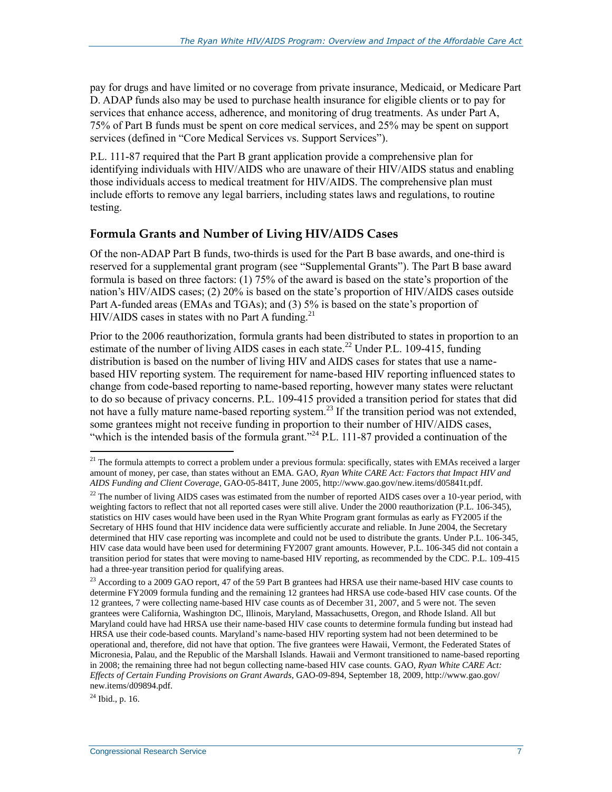pay for drugs and have limited or no coverage from private insurance, Medicaid, or Medicare Part D. ADAP funds also may be used to purchase health insurance for eligible clients or to pay for services that enhance access, adherence, and monitoring of drug treatments. As under Part A, 75% of Part B funds must be spent on core medical services, and 25% may be spent on support services (defined in ["Core Medical Services vs. Support Services"](#page-8-0)).

P.L. 111-87 required that the Part B grant application provide a comprehensive plan for identifying individuals with HIV/AIDS who are unaware of their HIV/AIDS status and enabling those individuals access to medical treatment for HIV/AIDS. The comprehensive plan must include efforts to remove any legal barriers, including states laws and regulations, to routine testing.

#### **Formula Grants and Number of Living HIV/AIDS Cases**

Of the non-ADAP Part B funds, two-thirds is used for the Part B base awards, and one-third is reserved for a supplemental grant program (see ["Supplemental Grants"](#page-12-0)). The Part B base award formula is based on three factors: (1) 75% of the award is based on the state's proportion of the nation's HIV/AIDS cases; (2) 20% is based on the state's proportion of HIV/AIDS cases outside Part A-funded areas (EMAs and TGAs); and (3) 5% is based on the state's proportion of HIV/AIDS cases in states with no Part A funding.<sup>21</sup>

Prior to the 2006 reauthorization, formula grants had been distributed to states in proportion to an estimate of the number of living AIDS cases in each state.<sup>22</sup> Under P.L. 109-415, funding distribution is based on the number of living HIV and AIDS cases for states that use a namebased HIV reporting system. The requirement for name-based HIV reporting influenced states to change from code-based reporting to name-based reporting, however many states were reluctant to do so because of privacy concerns. P.L. 109-415 provided a transition period for states that did not have a fully mature name-based reporting system.<sup>23</sup> If the transition period was not extended, some grantees might not receive funding in proportion to their number of HIV/AIDS cases, "which is the intended basis of the formula grant."<sup>24</sup> P.L. 111-87 provided a continuation of the

 $^{24}$  Ibid., p. 16.

<sup>&</sup>lt;sup>21</sup> The formula attempts to correct a problem under a previous formula: specifically, states with EMAs received a larger amount of money, per case, than states without an EMA. GAO, *Ryan White CARE Act: Factors that Impact HIV and AIDS Funding and Client Coverage*, GAO-05-841T, June 2005, http://www.gao.gov/new.items/d05841t.pdf.

 $^{22}$  The number of living AIDS cases was estimated from the number of reported AIDS cases over a 10-year period, with weighting factors to reflect that not all reported cases were still alive. Under the 2000 reauthorization (P.L. 106-345), statistics on HIV cases would have been used in the Ryan White Program grant formulas as early as FY2005 if the Secretary of HHS found that HIV incidence data were sufficiently accurate and reliable. In June 2004, the Secretary determined that HIV case reporting was incomplete and could not be used to distribute the grants. Under P.L. 106-345, HIV case data would have been used for determining FY2007 grant amounts. However, P.L. 106-345 did not contain a transition period for states that were moving to name-based HIV reporting, as recommended by the CDC. P.L. 109-415 had a three-year transition period for qualifying areas.

<sup>&</sup>lt;sup>23</sup> According to a 2009 GAO report, 47 of the 59 Part B grantees had HRSA use their name-based HIV case counts to determine FY2009 formula funding and the remaining 12 grantees had HRSA use code-based HIV case counts. Of the 12 grantees, 7 were collecting name-based HIV case counts as of December 31, 2007, and 5 were not. The seven grantees were California, Washington DC, Illinois, Maryland, Massachusetts, Oregon, and Rhode Island. All but Maryland could have had HRSA use their name-based HIV case counts to determine formula funding but instead had HRSA use their code-based counts. Maryland's name-based HIV reporting system had not been determined to be operational and, therefore, did not have that option. The five grantees were Hawaii, Vermont, the Federated States of Micronesia, Palau, and the Republic of the Marshall Islands. Hawaii and Vermont transitioned to name-based reporting in 2008; the remaining three had not begun collecting name-based HIV case counts. GAO, *Ryan White CARE Act: Effects of Certain Funding Provisions on Grant Awards*, GAO-09-894, September 18, 2009, http://www.gao.gov/ new.items/d09894.pdf.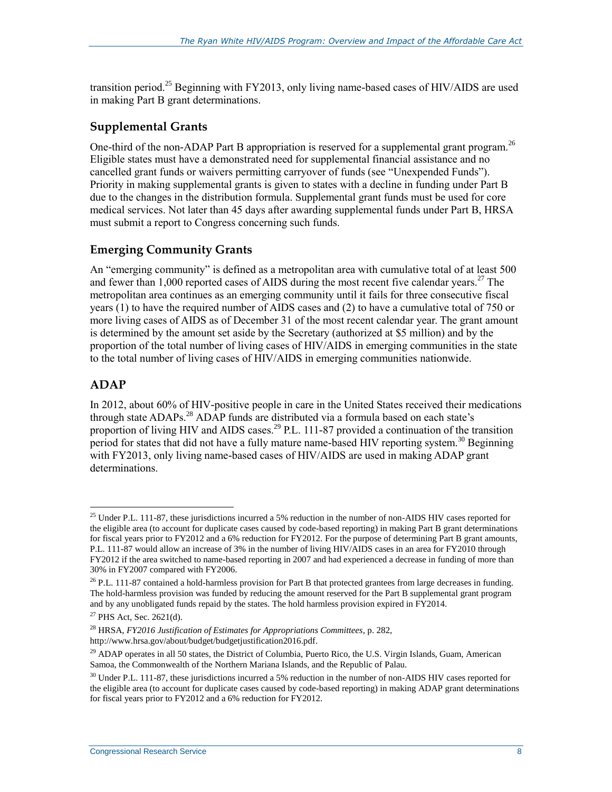transition period.<sup>25</sup> Beginning with FY2013, only living name-based cases of HIV/AIDS are used in making Part B grant determinations.

#### <span id="page-12-0"></span>**Supplemental Grants**

One-third of the non-ADAP Part B appropriation is reserved for a supplemental grant program.<sup>26</sup> Eligible states must have a demonstrated need for supplemental financial assistance and no cancelled grant funds or waivers permitting carryover of funds (see ["Unexpended Funds"](#page-13-0)). Priority in making supplemental grants is given to states with a decline in funding under Part B due to the changes in the distribution formula. Supplemental grant funds must be used for core medical services. Not later than 45 days after awarding supplemental funds under Part B, HRSA must submit a report to Congress concerning such funds.

#### **Emerging Community Grants**

An "emerging community" is defined as a metropolitan area with cumulative total of at least 500 and fewer than  $1,000$  reported cases of AIDS during the most recent five calendar years.<sup>27</sup> The metropolitan area continues as an emerging community until it fails for three consecutive fiscal years (1) to have the required number of AIDS cases and (2) to have a cumulative total of 750 or more living cases of AIDS as of December 31 of the most recent calendar year. The grant amount is determined by the amount set aside by the Secretary (authorized at \$5 million) and by the proportion of the total number of living cases of HIV/AIDS in emerging communities in the state to the total number of living cases of HIV/AIDS in emerging communities nationwide.

#### **ADAP**

 $\overline{a}$ 

In 2012, about 60% of HIV-positive people in care in the United States received their medications through state ADAPs.<sup>28</sup> ADAP funds are distributed via a formula based on each state's proportion of living HIV and AIDS cases.<sup>29</sup> P.L. 111-87 provided a continuation of the transition period for states that did not have a fully mature name-based HIV reporting system.<sup>30</sup> Beginning with FY2013, only living name-based cases of HIV/AIDS are used in making ADAP grant determinations.

<sup>&</sup>lt;sup>25</sup> Under P.L. 111-87, these jurisdictions incurred a 5% reduction in the number of non-AIDS HIV cases reported for the eligible area (to account for duplicate cases caused by code-based reporting) in making Part B grant determinations for fiscal years prior to FY2012 and a 6% reduction for FY2012. For the purpose of determining Part B grant amounts, P.L. 111-87 would allow an increase of 3% in the number of living HIV/AIDS cases in an area for FY2010 through FY2012 if the area switched to name-based reporting in 2007 and had experienced a decrease in funding of more than 30% in FY2007 compared with FY2006.

 $26$  P.L. 111-87 contained a hold-harmless provision for Part B that protected grantees from large decreases in funding. The hold-harmless provision was funded by reducing the amount reserved for the Part B supplemental grant program and by any unobligated funds repaid by the states. The hold harmless provision expired in FY2014.

 $^{27}$  PHS Act, Sec. 2621(d).

<sup>28</sup> HRSA, *FY2016 Justification of Estimates for Appropriations Committees*, p. 282, http://www.hrsa.gov/about/budget/budgetjustification2016.pdf.

 $^{29}$  ADAP operates in all 50 states, the District of Columbia, Puerto Rico, the U.S. Virgin Islands, Guam, American Samoa, the Commonwealth of the Northern Mariana Islands, and the Republic of Palau.

<sup>&</sup>lt;sup>30</sup> Under P.L. 111-87, these jurisdictions incurred a 5% reduction in the number of non-AIDS HIV cases reported for the eligible area (to account for duplicate cases caused by code-based reporting) in making ADAP grant determinations for fiscal years prior to FY2012 and a 6% reduction for FY2012.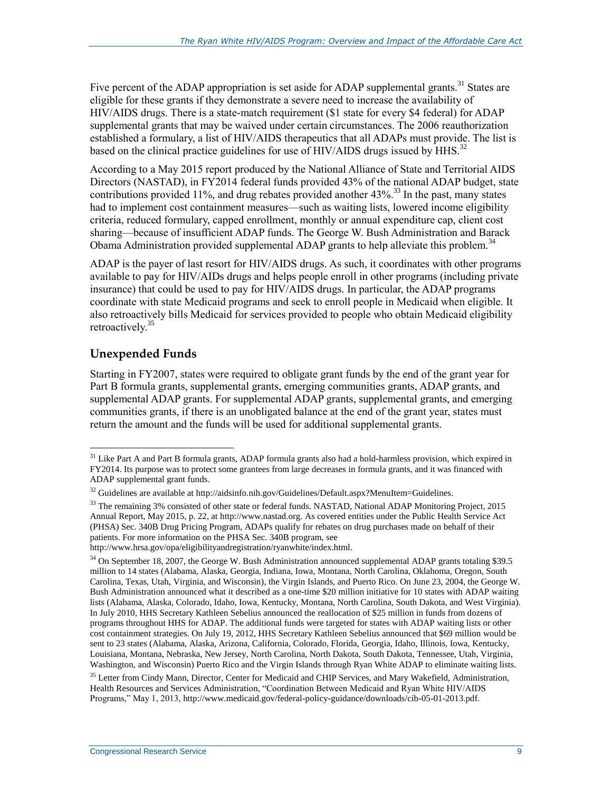Five percent of the ADAP appropriation is set aside for ADAP supplemental grants.<sup>31</sup> States are eligible for these grants if they demonstrate a severe need to increase the availability of HIV/AIDS drugs. There is a state-match requirement (\$1 state for every \$4 federal) for ADAP supplemental grants that may be waived under certain circumstances. The 2006 reauthorization established a formulary, a list of HIV/AIDS therapeutics that all ADAPs must provide. The list is based on the clinical practice guidelines for use of HIV/AIDS drugs issued by HHS.<sup>32</sup>

According to a May 2015 report produced by the National Alliance of State and Territorial AIDS Directors (NASTAD), in FY2014 federal funds provided 43% of the national ADAP budget, state contributions provided 11%, and drug rebates provided another  $43\%$ <sup>33</sup>. In the past, many states had to implement cost containment measures—such as waiting lists, lowered income eligibility criteria, reduced formulary, capped enrollment, monthly or annual expenditure cap, client cost sharing—because of insufficient ADAP funds. The George W. Bush Administration and Barack Obama Administration provided supplemental ADAP grants to help alleviate this problem.<sup>34</sup>

ADAP is the payer of last resort for HIV/AIDS drugs. As such, it coordinates with other programs available to pay for HIV/AIDs drugs and helps people enroll in other programs (including private insurance) that could be used to pay for HIV/AIDS drugs. In particular, the ADAP programs coordinate with state Medicaid programs and seek to enroll people in Medicaid when eligible. It also retroactively bills Medicaid for services provided to people who obtain Medicaid eligibility retroactively.<sup>35</sup>

#### <span id="page-13-0"></span>**Unexpended Funds**

 $\overline{a}$ 

Starting in FY2007, states were required to obligate grant funds by the end of the grant year for Part B formula grants, supplemental grants, emerging communities grants, ADAP grants, and supplemental ADAP grants. For supplemental ADAP grants, supplemental grants, and emerging communities grants, if there is an unobligated balance at the end of the grant year, states must return the amount and the funds will be used for additional supplemental grants.

http://www.hrsa.gov/opa/eligibilityandregistration/ryanwhite/index.html.

 $31$  Like Part A and Part B formula grants, ADAP formula grants also had a hold-harmless provision, which expired in FY2014. Its purpose was to protect some grantees from large decreases in formula grants, and it was financed with ADAP supplemental grant funds.

 $32$  Guidelines are available at http://aidsinfo.nih.gov/Guidelines/Default.aspx?MenuItem=Guidelines.

<sup>&</sup>lt;sup>33</sup> The remaining 3% consisted of other state or federal funds. NASTAD, National ADAP Monitoring Project, 2015 Annual Report, May 2015, p. 22, at http://www.nastad.org. As covered entities under the Public Health Service Act (PHSA) Sec. 340B Drug Pricing Program, ADAPs qualify for rebates on drug purchases made on behalf of their patients. For more information on the PHSA Sec. 340B program, see

<sup>&</sup>lt;sup>34</sup> On September 18, 2007, the George W. Bush Administration announced supplemental ADAP grants totaling \$39.5 million to 14 states (Alabama, Alaska, Georgia, Indiana, Iowa, Montana, North Carolina, Oklahoma, Oregon, South Carolina, Texas, Utah, Virginia, and Wisconsin), the Virgin Islands, and Puerto Rico. On June 23, 2004, the George W. Bush Administration announced what it described as a one-time \$20 million initiative for 10 states with ADAP waiting lists (Alabama, Alaska, Colorado, Idaho, Iowa, Kentucky, Montana, North Carolina, South Dakota, and West Virginia). In July 2010, HHS Secretary Kathleen Sebelius announced the reallocation of \$25 million in funds from dozens of programs throughout HHS for ADAP. The additional funds were targeted for states with ADAP waiting lists or other cost containment strategies. On July 19, 2012, HHS Secretary Kathleen Sebelius announced that \$69 million would be sent to 23 states (Alabama, Alaska, Arizona, California, Colorado, Florida, Georgia, Idaho, Illinois, Iowa, Kentucky, Louisiana, Montana, Nebraska, New Jersey, North Carolina, North Dakota, South Dakota, Tennessee, Utah, Virginia, Washington, and Wisconsin) Puerto Rico and the Virgin Islands through Ryan White ADAP to eliminate waiting lists.

<sup>&</sup>lt;sup>35</sup> Letter from Cindy Mann, Director, Center for Medicaid and CHIP Services, and Mary Wakefield, Administration, Health Resources and Services Administration, "Coordination Between Medicaid and Ryan White HIV/AIDS Programs," May 1, 2013, http://www.medicaid.gov/federal-policy-guidance/downloads/cib-05-01-2013.pdf.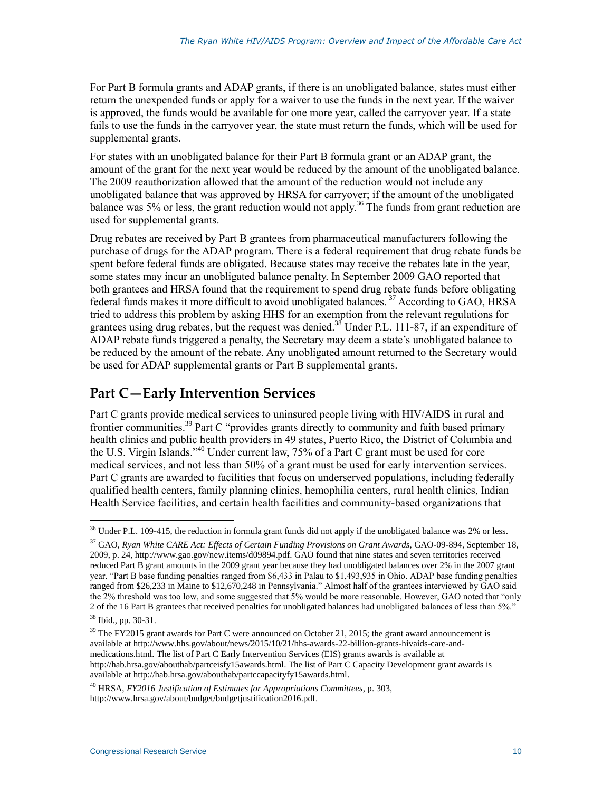For Part B formula grants and ADAP grants, if there is an unobligated balance, states must either return the unexpended funds or apply for a waiver to use the funds in the next year. If the waiver is approved, the funds would be available for one more year, called the carryover year. If a state fails to use the funds in the carryover year, the state must return the funds, which will be used for supplemental grants.

For states with an unobligated balance for their Part B formula grant or an ADAP grant, the amount of the grant for the next year would be reduced by the amount of the unobligated balance. The 2009 reauthorization allowed that the amount of the reduction would not include any unobligated balance that was approved by HRSA for carryover; if the amount of the unobligated balance was 5% or less, the grant reduction would not apply.<sup>36</sup> The funds from grant reduction are used for supplemental grants.

Drug rebates are received by Part B grantees from pharmaceutical manufacturers following the purchase of drugs for the ADAP program. There is a federal requirement that drug rebate funds be spent before federal funds are obligated. Because states may receive the rebates late in the year, some states may incur an unobligated balance penalty. In September 2009 GAO reported that both grantees and HRSA found that the requirement to spend drug rebate funds before obligating federal funds makes it more difficult to avoid unobligated balances.<sup>37</sup> According to GAO, HRSA tried to address this problem by asking HHS for an exemption from the relevant regulations for grantees using drug rebates, but the request was denied.<sup>38</sup> Under P.L. 111-87, if an expenditure of ADAP rebate funds triggered a penalty, the Secretary may deem a state's unobligated balance to be reduced by the amount of the rebate. Any unobligated amount returned to the Secretary would be used for ADAP supplemental grants or Part B supplemental grants.

#### **Part C—Early Intervention Services**

Part C grants provide medical services to uninsured people living with HIV/AIDS in rural and frontier communities.<sup>39</sup> Part C "provides grants directly to community and faith based primary health clinics and public health providers in 49 states, Puerto Rico, the District of Columbia and the U.S. Virgin Islands."<sup>40</sup> Under current law, 75% of a Part C grant must be used for core medical services, and not less than 50% of a grant must be used for early intervention services. Part C grants are awarded to facilities that focus on underserved populations, including federally qualified health centers, family planning clinics, hemophilia centers, rural health clinics, Indian Health Service facilities, and certain health facilities and community-based organizations that

 $36$  Under P.L. 109-415, the reduction in formula grant funds did not apply if the unobligated balance was 2% or less.

<sup>37</sup> GAO, *Ryan White CARE Act: Effects of Certain Funding Provisions on Grant Awards*, GAO-09-894, September 18, 2009, p. 24, http://www.gao.gov/new.items/d09894.pdf. GAO found that nine states and seven territories received reduced Part B grant amounts in the 2009 grant year because they had unobligated balances over 2% in the 2007 grant year. "Part B base funding penalties ranged from \$6,433 in Palau to \$1,493,935 in Ohio. ADAP base funding penalties ranged from \$26,233 in Maine to \$12,670,248 in Pennsylvania." Almost half of the grantees interviewed by GAO said the 2% threshold was too low, and some suggested that 5% would be more reasonable. However, GAO noted that "only 2 of the 16 Part B grantees that received penalties for unobligated balances had unobligated balances of less than 5%."

<sup>38</sup> Ibid., pp. 30-31.

<sup>&</sup>lt;sup>39</sup> The FY2015 grant awards for Part C were announced on October 21, 2015; the grant award announcement is available at http://www.hhs.gov/about/news/2015/10/21/hhs-awards-22-billion-grants-hivaids-care-andmedications.html. The list of Part C Early Intervention Services (EIS) grants awards is available at http://hab.hrsa.gov/abouthab/partceisfy15awards.html. The list of Part C Capacity Development grant awards is available at http://hab.hrsa.gov/abouthab/partccapacityfy15awards.html.

<sup>40</sup> HRSA, *FY2016 Justification of Estimates for Appropriations Committees*, p. 303, http://www.hrsa.gov/about/budget/budgetjustification2016.pdf.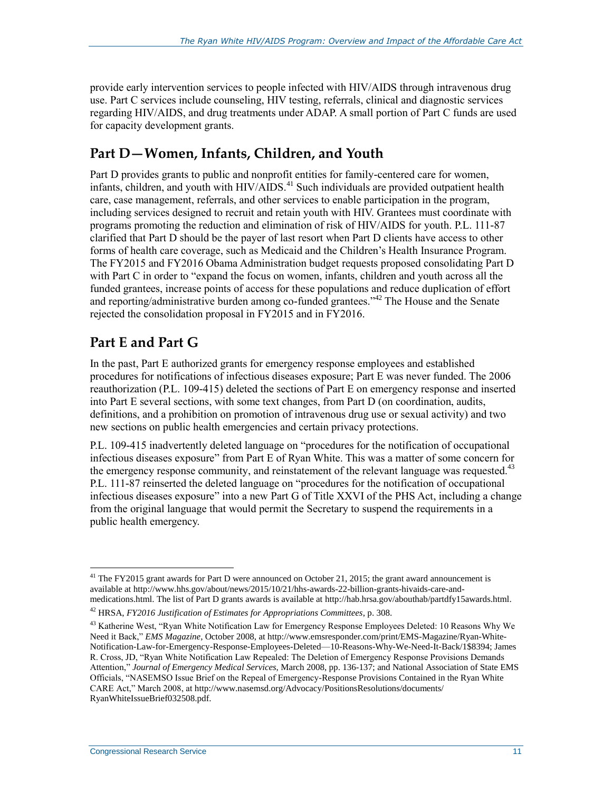provide early intervention services to people infected with HIV/AIDS through intravenous drug use. Part C services include counseling, HIV testing, referrals, clinical and diagnostic services regarding HIV/AIDS, and drug treatments under ADAP. A small portion of Part C funds are used for capacity development grants.

### **Part D—Women, Infants, Children, and Youth**

Part D provides grants to public and nonprofit entities for family-centered care for women, infants, children, and youth with HIV/AIDS.<sup>41</sup> Such individuals are provided outpatient health care, case management, referrals, and other services to enable participation in the program, including services designed to recruit and retain youth with HIV. Grantees must coordinate with programs promoting the reduction and elimination of risk of HIV/AIDS for youth. P.L. 111-87 clarified that Part D should be the payer of last resort when Part D clients have access to other forms of health care coverage, such as Medicaid and the Children's Health Insurance Program. The FY2015 and FY2016 Obama Administration budget requests proposed consolidating Part D with Part C in order to "expand the focus on women, infants, children and youth across all the funded grantees, increase points of access for these populations and reduce duplication of effort and reporting/administrative burden among co-funded grantees."<sup>42</sup> The House and the Senate rejected the consolidation proposal in FY2015 and in FY2016.

## **Part E and Part G**

In the past, Part E authorized grants for emergency response employees and established procedures for notifications of infectious diseases exposure; Part E was never funded. The 2006 reauthorization (P.L. 109-415) deleted the sections of Part E on emergency response and inserted into Part E several sections, with some text changes, from Part D (on coordination, audits, definitions, and a prohibition on promotion of intravenous drug use or sexual activity) and two new sections on public health emergencies and certain privacy protections.

P.L. 109-415 inadvertently deleted language on "procedures for the notification of occupational infectious diseases exposure" from Part E of Ryan White. This was a matter of some concern for the emergency response community, and reinstatement of the relevant language was requested.<sup>43</sup> P.L. 111-87 reinserted the deleted language on "procedures for the notification of occupational infectious diseases exposure" into a new Part G of Title XXVI of the PHS Act, including a change from the original language that would permit the Secretary to suspend the requirements in a public health emergency.

<sup>&</sup>lt;sup>41</sup> The FY2015 grant awards for Part D were announced on October 21, 2015; the grant award announcement is available at http://www.hhs.gov/about/news/2015/10/21/hhs-awards-22-billion-grants-hivaids-care-andmedications.html. The list of Part D grants awards is available at http://hab.hrsa.gov/abouthab/partdfy15awards.html.

<sup>42</sup> HRSA, *FY2016 Justification of Estimates for Appropriations Committees*, p. 308.

<sup>&</sup>lt;sup>43</sup> Katherine West, "Ryan White Notification Law for Emergency Response Employees Deleted: 10 Reasons Why We Need it Back," *EMS Magazine*, October 2008, at http://www.emsresponder.com/print/EMS-Magazine/Ryan-White-Notification-Law-for-Emergency-Response-Employees-Deleted—10-Reasons-Why-We-Need-It-Back/1\$8394; James R. Cross, JD, "Ryan White Notification Law Repealed: The Deletion of Emergency Response Provisions Demands Attention," *Journal of Emergency Medical Services*, March 2008, pp. 136-137; and National Association of State EMS Officials, "NASEMSO Issue Brief on the Repeal of Emergency-Response Provisions Contained in the Ryan White CARE Act," March 2008, at http://www.nasemsd.org/Advocacy/PositionsResolutions/documents/ RyanWhiteIssueBrief032508.pdf.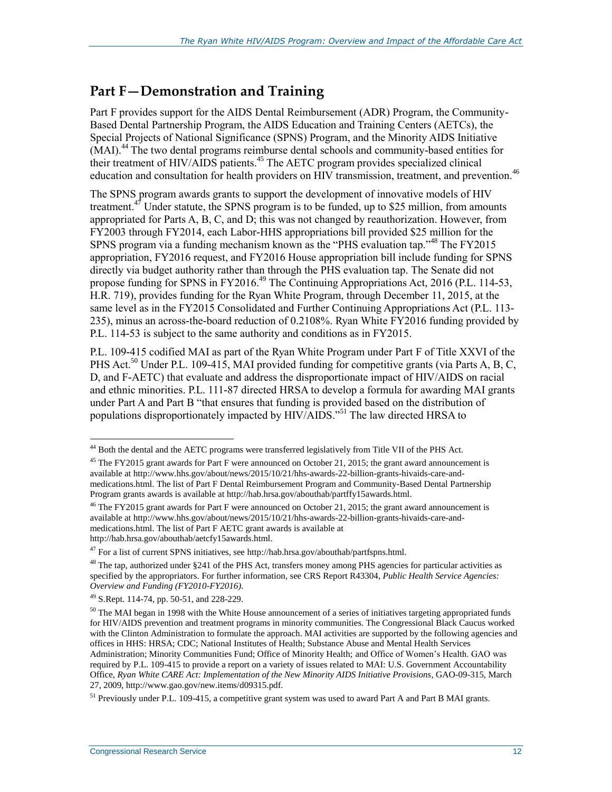### **Part F—Demonstration and Training**

Part F provides support for the AIDS Dental Reimbursement (ADR) Program, the Community-Based Dental Partnership Program, the AIDS Education and Training Centers (AETCs), the Special Projects of National Significance (SPNS) Program, and the Minority AIDS Initiative (MAI).<sup>44</sup> The two dental programs reimburse dental schools and community-based entities for their treatment of HIV/AIDS patients.<sup>45</sup> The AETC program provides specialized clinical education and consultation for health providers on HIV transmission, treatment, and prevention.<sup>46</sup>

The SPNS program awards grants to support the development of innovative models of HIV treatment. $47$  Under statute, the SPNS program is to be funded, up to \$25 million, from amounts appropriated for Parts A, B, C, and D; this was not changed by reauthorization. However, from FY2003 through FY2014, each Labor-HHS appropriations bill provided \$25 million for the SPNS program via a funding mechanism known as the "PHS evaluation tap."<sup>48</sup> The FY2015 appropriation, FY2016 request, and FY2016 House appropriation bill include funding for SPNS directly via budget authority rather than through the PHS evaluation tap. The Senate did not propose funding for SPNS in FY2016.<sup>49</sup> The Continuing Appropriations Act, 2016 (P.L. 114-53, H.R. 719), provides funding for the Ryan White Program, through December 11, 2015, at the same level as in the FY2015 Consolidated and Further Continuing Appropriations Act (P.L. 113- 235), minus an across-the-board reduction of 0.2108%. Ryan White FY2016 funding provided by P.L. 114-53 is subject to the same authority and conditions as in FY2015.

P.L. 109-415 codified MAI as part of the Ryan White Program under Part F of Title XXVI of the PHS Act.<sup>50</sup> Under P.L. 109-415, MAI provided funding for competitive grants (via Parts A, B, C, D, and F-AETC) that evaluate and address the disproportionate impact of HIV/AIDS on racial and ethnic minorities. P.L. 111-87 directed HRSA to develop a formula for awarding MAI grants under Part A and Part B "that ensures that funding is provided based on the distribution of populations disproportionately impacted by HIV/AIDS."<sup>51</sup> The law directed HRSA to

<sup>&</sup>lt;sup>44</sup> Both the dental and the AETC programs were transferred legislatively from Title VII of the PHS Act.

<sup>&</sup>lt;sup>45</sup> The FY2015 grant awards for Part F were announced on October 21, 2015; the grant award announcement is available at http://www.hhs.gov/about/news/2015/10/21/hhs-awards-22-billion-grants-hivaids-care-andmedications.html. The list of Part F Dental Reimbursement Program and Community-Based Dental Partnership Program grants awards is available at http://hab.hrsa.gov/abouthab/partffy15awards.html.

<sup>&</sup>lt;sup>46</sup> The FY2015 grant awards for Part F were announced on October 21, 2015; the grant award announcement is available at http://www.hhs.gov/about/news/2015/10/21/hhs-awards-22-billion-grants-hivaids-care-andmedications.html. The list of Part F AETC grant awards is available at http://hab.hrsa.gov/abouthab/aetcfy15awards.html.

<sup>47</sup> For a list of current SPNS initiatives, see http://hab.hrsa.gov/abouthab/partfspns.html.

 $48$  The tap, authorized under §241 of the PHS Act, transfers money among PHS agencies for particular activities as specified by the appropriators. For further information, see CRS Report R43304, *Public Health Service Agencies: Overview and Funding (FY2010-FY2016)*.

<sup>49</sup> S.Rept. 114-74, pp. 50-51, and 228-229.

 $50$  The MAI began in 1998 with the White House announcement of a series of initiatives targeting appropriated funds for HIV/AIDS prevention and treatment programs in minority communities. The Congressional Black Caucus worked with the Clinton Administration to formulate the approach. MAI activities are supported by the following agencies and offices in HHS: HRSA; CDC; National Institutes of Health; Substance Abuse and Mental Health Services Administration; Minority Communities Fund; Office of Minority Health; and Office of Women's Health. GAO was required by P.L. 109-415 to provide a report on a variety of issues related to MAI: U.S. Government Accountability Office, *Ryan White CARE Act: Implementation of the New Minority AIDS Initiative Provisions*, GAO-09-315, March 27, 2009, http://www.gao.gov/new.items/d09315.pdf.

<sup>&</sup>lt;sup>51</sup> Previously under P.L. 109-415, a competitive grant system was used to award Part A and Part B MAI grants.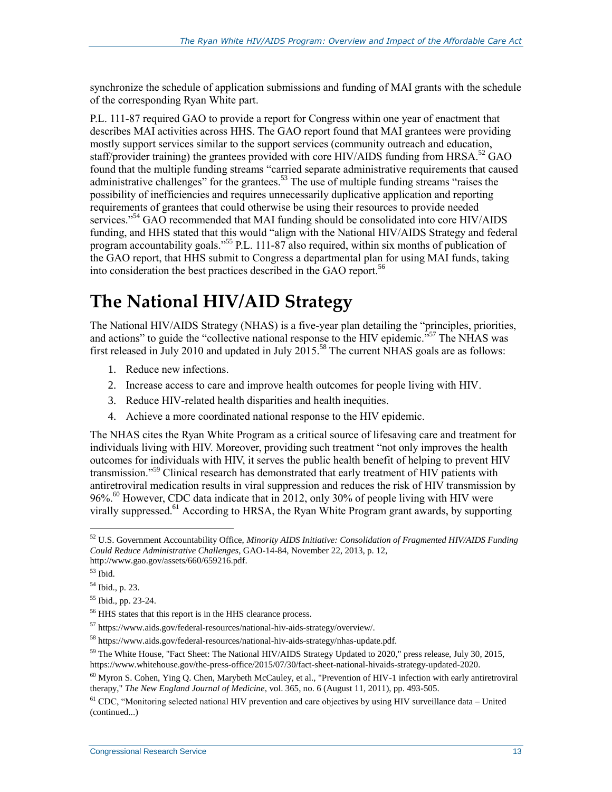synchronize the schedule of application submissions and funding of MAI grants with the schedule of the corresponding Ryan White part.

P.L. 111-87 required GAO to provide a report for Congress within one year of enactment that describes MAI activities across HHS. The GAO report found that MAI grantees were providing mostly support services similar to the support services (community outreach and education, staff/provider training) the grantees provided with core HIV/AIDS funding from HRSA.<sup>52</sup> GAO found that the multiple funding streams "carried separate administrative requirements that caused administrative challenges" for the grantees.<sup>53</sup> The use of multiple funding streams "raises the possibility of inefficiencies and requires unnecessarily duplicative application and reporting requirements of grantees that could otherwise be using their resources to provide needed services."<sup>54</sup> GAO recommended that MAI funding should be consolidated into core HIV/AIDS funding, and HHS stated that this would "align with the National HIV/AIDS Strategy and federal program accountability goals." <sup>55</sup> P.L. 111-87 also required, within six months of publication of the GAO report, that HHS submit to Congress a departmental plan for using MAI funds, taking into consideration the best practices described in the GAO report.<sup>56</sup>

## **The National HIV/AID Strategy**

The National HIV/AIDS Strategy (NHAS) is a five-year plan detailing the "principles, priorities, and actions" to guide the "collective national response to the HIV epidemic."<sup>57</sup> The NHAS was first released in July 2010 and updated in July  $2015^{58}$  The current NHAS goals are as follows:

- 1. Reduce new infections.
- 2. Increase access to care and improve health outcomes for people living with HIV.
- 3. Reduce HIV-related health disparities and health inequities.
- 4. Achieve a more coordinated national response to the HIV epidemic.

The NHAS cites the Ryan White Program as a critical source of lifesaving care and treatment for individuals living with HIV. Moreover, providing such treatment "not only improves the health outcomes for individuals with HIV, it serves the public health benefit of helping to prevent HIV transmission."<sup>59</sup> Clinical research has demonstrated that early treatment of HIV patients with antiretroviral medication results in viral suppression and reduces the risk of HIV transmission by 96%.<sup>60</sup> However, CDC data indicate that in 2012, only 30% of people living with HIV were virally suppressed.<sup>61</sup> According to HRSA, the Ryan White Program grant awards, by supporting

<sup>52</sup> U.S. Government Accountability Office, *Minority AIDS Initiative: Consolidation of Fragmented HIV/AIDS Funding Could Reduce Administrative Challenges*, GAO-14-84, November 22, 2013, p. 12, http://www.gao.gov/assets/660/659216.pdf.

 $53$  Ibid.

<sup>54</sup> Ibid., p. 23.

<sup>55</sup> Ibid., pp. 23-24.

<sup>56</sup> HHS states that this report is in the HHS clearance process.

<sup>57</sup> https://www.aids.gov/federal-resources/national-hiv-aids-strategy/overview/.

<sup>58</sup> https://www.aids.gov/federal-resources/national-hiv-aids-strategy/nhas-update.pdf.

<sup>&</sup>lt;sup>59</sup> The White House, "Fact Sheet: The National HIV/AIDS Strategy Updated to 2020," press release, July 30, 2015, https://www.whitehouse.gov/the-press-office/2015/07/30/fact-sheet-national-hivaids-strategy-updated-2020.

 $^{60}$  Myron S. Cohen, Ying Q. Chen, Marybeth McCauley, et al., "Prevention of HIV-1 infection with early antiretroviral therapy," *The New England Journal of Medicine*, vol. 365, no. 6 (August 11, 2011), pp. 493-505.

 $<sup>61</sup>$  CDC, "Monitoring selected national HIV prevention and care objectives by using HIV surveillance data – United</sup> (continued...)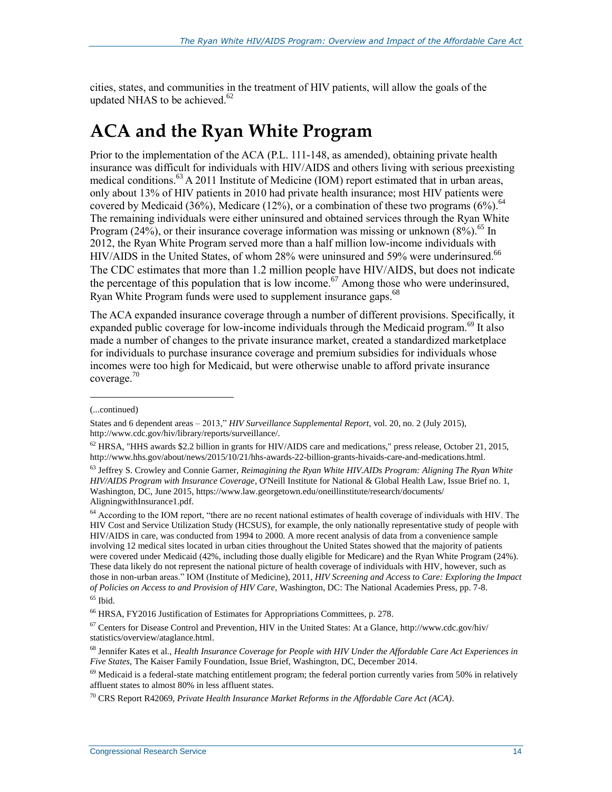cities, states, and communities in the treatment of HIV patients, will allow the goals of the updated NHAS to be achieved. 62

## <span id="page-18-0"></span>**ACA and the Ryan White Program**

Prior to the implementation of the ACA (P.L. 111-148, as amended), obtaining private health insurance was difficult for individuals with HIV/AIDS and others living with serious preexisting medical conditions.<sup>63</sup> A 2011 Institute of Medicine (IOM) report estimated that in urban areas, only about 13% of HIV patients in 2010 had private health insurance; most HIV patients were covered by Medicaid (36%), Medicare (12%), or a combination of these two programs (6%).<sup>64</sup> The remaining individuals were either uninsured and obtained services through the Ryan White Program (24%), or their insurance coverage information was missing or unknown  $(8\%)$ .<sup>65</sup> In 2012, the Ryan White Program served more than a half million low-income individuals with HIV/AIDS in the United States, of whom 28% were uninsured and 59% were underinsured.<sup>66</sup> The CDC estimates that more than 1.2 million people have HIV/AIDS, but does not indicate the percentage of this population that is low income.<sup>67</sup> Among those who were underinsured, Ryan White Program funds were used to supplement insurance gaps.<sup>68</sup>

The ACA expanded insurance coverage through a number of different provisions. Specifically, it expanded public coverage for low-income individuals through the Medicaid program.<sup>69</sup> It also made a number of changes to the private insurance market, created a standardized marketplace for individuals to purchase insurance coverage and premium subsidies for individuals whose incomes were too high for Medicaid, but were otherwise unable to afford private insurance coverage.<sup>70</sup>

l

<sup>64</sup> According to the IOM report, "there are no recent national estimates of health coverage of individuals with HIV. The HIV Cost and Service Utilization Study (HCSUS), for example, the only nationally representative study of people with HIV/AIDS in care, was conducted from 1994 to 2000. A more recent analysis of data from a convenience sample involving 12 medical sites located in urban cities throughout the United States showed that the majority of patients were covered under Medicaid (42%, including those dually eligible for Medicare) and the Ryan White Program (24%). These data likely do not represent the national picture of health coverage of individuals with HIV, however, such as those in non-urban areas." IOM (Institute of Medicine), 2011, *HIV Screening and Access to Care: Exploring the Impact of Policies on Access to and Provision of HIV Care*, Washington, DC: The National Academies Press, pp. 7-8.

<sup>68</sup> Jennifer Kates et al., *Health Insurance Coverage for People with HIV Under the Affordable Care Act Experiences in Five States*, The Kaiser Family Foundation, Issue Brief, Washington, DC, December 2014.

<sup>(...</sup>continued)

States and 6 dependent areas – 2013," *HIV Surveillance Supplemental Report,* vol. 20, no. 2 (July 2015), http://www.cdc.gov/hiv/library/reports/surveillance/.

 $62$  HRSA, "HHS awards \$2.2 billion in grants for HIV/AIDS care and medications," press release, October 21, 2015, http://www.hhs.gov/about/news/2015/10/21/hhs-awards-22-billion-grants-hivaids-care-and-medications.html.

<sup>63</sup> Jeffrey S. Crowley and Connie Garner, *Reimagining the Ryan White HIV.AIDs Program: Aligning The Ryan White HIV/AIDS Program with Insurance Coverage*, O'Neill Institute for National & Global Health Law, Issue Brief no. 1, Washington, DC, June 2015, https://www.law.georgetown.edu/oneillinstitute/research/documents/ AligningwithInsurance1.pdf.

 $65$  Ibid.

<sup>&</sup>lt;sup>66</sup> HRSA, FY2016 Justification of Estimates for Appropriations Committees, p. 278.

<sup>67</sup> Centers for Disease Control and Prevention, HIV in the United States: At a Glance, http://www.cdc.gov/hiv/ statistics/overview/ataglance.html.

 $^{69}$  Medicaid is a federal-state matching entitlement program; the federal portion currently varies from 50% in relatively affluent states to almost 80% in less affluent states.

<sup>70</sup> CRS Report R42069, *Private Health Insurance Market Reforms in the Affordable Care Act (ACA)*.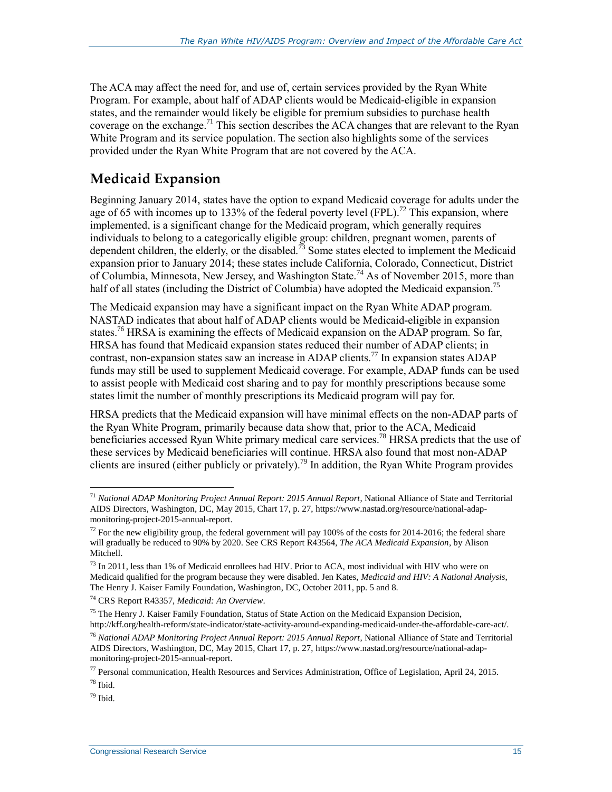The ACA may affect the need for, and use of, certain services provided by the Ryan White Program. For example, about half of ADAP clients would be Medicaid-eligible in expansion states, and the remainder would likely be eligible for premium subsidies to purchase health coverage on the exchange.<sup>71</sup> This section describes the ACA changes that are relevant to the Ryan White Program and its service population. The section also highlights some of the services provided under the Ryan White Program that are not covered by the ACA.

### **Medicaid Expansion**

Beginning January 2014, states have the option to expand Medicaid coverage for adults under the age of 65 with incomes up to 133% of the federal poverty level (FPL).<sup>72</sup> This expansion, where implemented, is a significant change for the Medicaid program, which generally requires individuals to belong to a categorically eligible group: children, pregnant women, parents of dependent children, the elderly, or the disabled.<sup>73</sup> Some states elected to implement the Medicaid expansion prior to January 2014; these states include California, Colorado, Connecticut, District of Columbia, Minnesota, New Jersey, and Washington State.<sup>74</sup> As of November 2015, more than half of all states (including the District of Columbia) have adopted the Medicaid expansion.<sup>75</sup>

The Medicaid expansion may have a significant impact on the Ryan White ADAP program. NASTAD indicates that about half of ADAP clients would be Medicaid-eligible in expansion states.<sup>76</sup> HRSA is examining the effects of Medicaid expansion on the ADAP program. So far, HRSA has found that Medicaid expansion states reduced their number of ADAP clients; in contrast, non-expansion states saw an increase in ADAP clients.<sup>77</sup> In expansion states ADAP funds may still be used to supplement Medicaid coverage. For example, ADAP funds can be used to assist people with Medicaid cost sharing and to pay for monthly prescriptions because some states limit the number of monthly prescriptions its Medicaid program will pay for.

HRSA predicts that the Medicaid expansion will have minimal effects on the non-ADAP parts of the Ryan White Program, primarily because data show that, prior to the ACA, Medicaid beneficiaries accessed Ryan White primary medical care services.<sup>78</sup> HRSA predicts that the use of these services by Medicaid beneficiaries will continue. HRSA also found that most non-ADAP clients are insured (either publicly or privately).<sup>79</sup> In addition, the Ryan White Program provides

 $\overline{a}$ 

 $79$  Ibid.

<sup>71</sup> *National ADAP Monitoring Project Annual Report: 2015 Annual Report*, National Alliance of State and Territorial AIDS Directors, Washington, DC, May 2015, Chart 17, p. 27, https://www.nastad.org/resource/national-adapmonitoring-project-2015-annual-report.

<sup>&</sup>lt;sup>72</sup> For the new eligibility group, the federal government will pay 100% of the costs for 2014-2016; the federal share will gradually be reduced to 90% by 2020. See CRS Report R43564, *The ACA Medicaid Expansion*, by Alison Mitchell.

<sup>&</sup>lt;sup>73</sup> In 2011, less than 1% of Medicaid enrollees had HIV. Prior to ACA, most individual with HIV who were on Medicaid qualified for the program because they were disabled. Jen Kates, *Medicaid and HIV: A National Analysis*, The Henry J. Kaiser Family Foundation, Washington, DC, October 2011, pp. 5 and 8.

<sup>74</sup> CRS Report R43357, *Medicaid: An Overview*.

<sup>&</sup>lt;sup>75</sup> The Henry J. Kaiser Family Foundation, Status of State Action on the Medicaid Expansion Decision, http://kff.org/health-reform/state-indicator/state-activity-around-expanding-medicaid-under-the-affordable-care-act/.

<sup>76</sup> *National ADAP Monitoring Project Annual Report: 2015 Annual Report*, National Alliance of State and Territorial AIDS Directors, Washington, DC, May 2015, Chart 17, p. 27, https://www.nastad.org/resource/national-adapmonitoring-project-2015-annual-report.

 $77$  Personal communication, Health Resources and Services Administration, Office of Legislation, April 24, 2015.

<sup>78</sup> Ibid.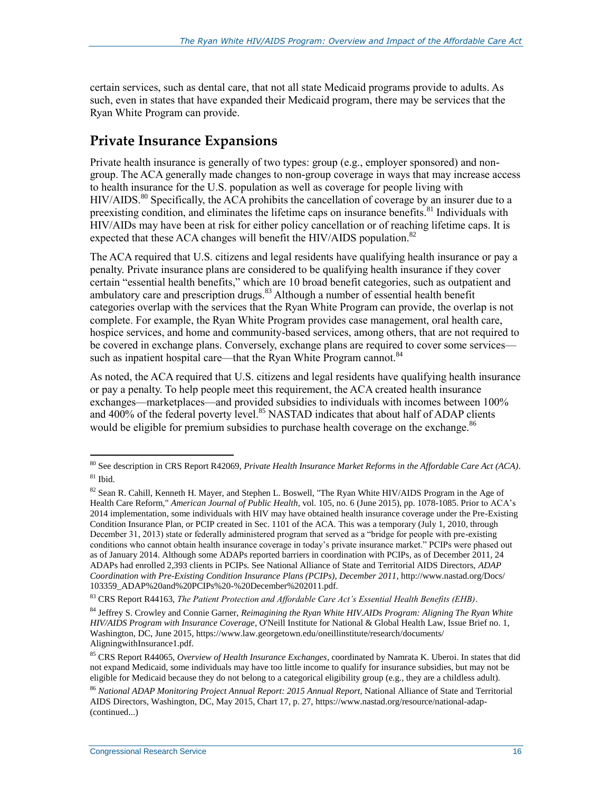certain services, such as dental care, that not all state Medicaid programs provide to adults. As such, even in states that have expanded their Medicaid program, there may be services that the Ryan White Program can provide.

### **Private Insurance Expansions**

Private health insurance is generally of two types: group (e.g., employer sponsored) and nongroup. The ACA generally made changes to non-group coverage in ways that may increase access to health insurance for the U.S. population as well as coverage for people living with  $HIV/ALDS$ <sup>80</sup> Specifically, the  $\widehat{ACA}$  prohibits the cancellation of coverage by an insurer due to a preexisting condition, and eliminates the lifetime caps on insurance benefits.<sup>81</sup> Individuals with HIV/AIDs may have been at risk for either policy cancellation or of reaching lifetime caps. It is expected that these ACA changes will benefit the HIV/AIDS population.<sup>82</sup>

The ACA required that U.S. citizens and legal residents have qualifying health insurance or pay a penalty. Private insurance plans are considered to be qualifying health insurance if they cover certain "essential health benefits," which are 10 broad benefit categories, such as outpatient and ambulatory care and prescription drugs.<sup>83</sup> Although a number of essential health benefit categories overlap with the services that the Ryan White Program can provide, the overlap is not complete. For example, the Ryan White Program provides case management, oral health care, hospice services, and home and community-based services, among others, that are not required to be covered in exchange plans. Conversely, exchange plans are required to cover some services such as inpatient hospital care—that the Ryan White Program cannot.<sup>84</sup>

As noted, the ACA required that U.S. citizens and legal residents have qualifying health insurance or pay a penalty. To help people meet this requirement, the ACA created health insurance exchanges—marketplaces—and provided subsidies to individuals with incomes between 100% and 400% of the federal poverty level.<sup>85</sup> NASTAD indicates that about half of ADAP clients would be eligible for premium subsidies to purchase health coverage on the exchange.<sup>86</sup>

<sup>80</sup> See description in CRS Report R42069, *Private Health Insurance Market Reforms in the Affordable Care Act (ACA)*.  $81$  Ibid.

<sup>82</sup> Sean R. Cahill, Kenneth H. Mayer, and Stephen L. Boswell, "The Ryan White HIV/AIDS Program in the Age of Health Care Reform," *American Journal of Public Health*, vol. 105, no. 6 (June 2015), pp. 1078-1085. Prior to ACA's 2014 implementation, some individuals with HIV may have obtained health insurance coverage under the Pre-Existing Condition Insurance Plan, or PCIP created in Sec. 1101 of the ACA. This was a temporary (July 1, 2010, through December 31, 2013) state or federally administered program that served as a "bridge for people with pre-existing conditions who cannot obtain health insurance coverage in today's private insurance market." PCIPs were phased out as of January 2014. Although some ADAPs reported barriers in coordination with PCIPs, as of December 2011, 24 ADAPs had enrolled 2,393 clients in PCIPs. See National Alliance of State and Territorial AIDS Directors, *ADAP Coordination with Pre-Existing Condition Insurance Plans (PCIPs), December 2011*, http://www.nastad.org/Docs/ 103359\_ADAP%20and%20PCIPs%20-%20December%202011.pdf.

<sup>83</sup> CRS Report R44163, *The Patient Protection and Affordable Care Act's Essential Health Benefits (EHB)*.

<sup>84</sup> Jeffrey S. Crowley and Connie Garner, *Reimagining the Ryan White HIV.AIDs Program: Aligning The Ryan White HIV/AIDS Program with Insurance Coverage*, O'Neill Institute for National & Global Health Law, Issue Brief no. 1, Washington, DC, June 2015, https://www.law.georgetown.edu/oneillinstitute/research/documents/ AligningwithInsurance1.pdf.

<sup>85</sup> CRS Report R44065, *Overview of Health Insurance Exchanges*, coordinated by Namrata K. Uberoi. In states that did not expand Medicaid, some individuals may have too little income to qualify for insurance subsidies, but may not be eligible for Medicaid because they do not belong to a categorical eligibility group (e.g., they are a childless adult).

<sup>86</sup> *National ADAP Monitoring Project Annual Report: 2015 Annual Report*, National Alliance of State and Territorial AIDS Directors, Washington, DC, May 2015, Chart 17, p. 27, https://www.nastad.org/resource/national-adap- (continued...)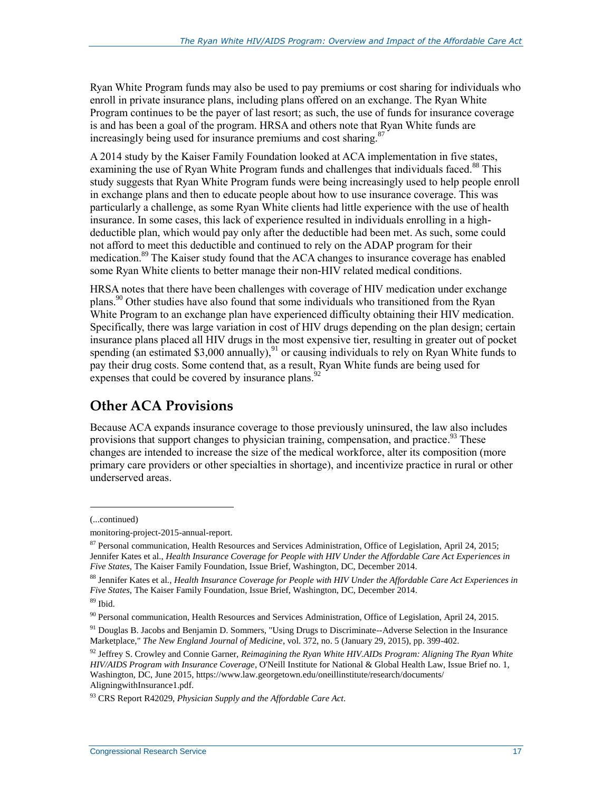Ryan White Program funds may also be used to pay premiums or cost sharing for individuals who enroll in private insurance plans, including plans offered on an exchange. The Ryan White Program continues to be the payer of last resort; as such, the use of funds for insurance coverage is and has been a goal of the program. HRSA and others note that Ryan White funds are increasingly being used for insurance premiums and cost sharing.<sup>87</sup>

A 2014 study by the Kaiser Family Foundation looked at ACA implementation in five states, examining the use of Ryan White Program funds and challenges that individuals faced.<sup>88</sup> This study suggests that Ryan White Program funds were being increasingly used to help people enroll in exchange plans and then to educate people about how to use insurance coverage. This was particularly a challenge, as some Ryan White clients had little experience with the use of health insurance. In some cases, this lack of experience resulted in individuals enrolling in a highdeductible plan, which would pay only after the deductible had been met. As such, some could not afford to meet this deductible and continued to rely on the ADAP program for their medication.<sup>89</sup> The Kaiser study found that the ACA changes to insurance coverage has enabled some Ryan White clients to better manage their non-HIV related medical conditions.

HRSA notes that there have been challenges with coverage of HIV medication under exchange plans.<sup>90</sup> Other studies have also found that some individuals who transitioned from the Ryan White Program to an exchange plan have experienced difficulty obtaining their HIV medication. Specifically, there was large variation in cost of HIV drugs depending on the plan design; certain insurance plans placed all HIV drugs in the most expensive tier, resulting in greater out of pocket spending (an estimated \$3,000 annually),<sup>91</sup> or causing individuals to rely on Ryan White funds to pay their drug costs. Some contend that, as a result, Ryan White funds are being used for expenses that could be covered by insurance plans.  $92$ 

## **Other ACA Provisions**

Because ACA expands insurance coverage to those previously uninsured, the law also includes provisions that support changes to physician training, compensation, and practice.<sup>93</sup> These changes are intended to increase the size of the medical workforce, alter its composition (more primary care providers or other specialties in shortage), and incentivize practice in rural or other underserved areas.

l

<sup>(...</sup>continued)

monitoring-project-2015-annual-report.

<sup>&</sup>lt;sup>87</sup> Personal communication, Health Resources and Services Administration, Office of Legislation, April 24, 2015; Jennifer Kates et al., *Health Insurance Coverage for People with HIV Under the Affordable Care Act Experiences in Five States*, The Kaiser Family Foundation, Issue Brief, Washington, DC, December 2014.

<sup>88</sup> Jennifer Kates et al., *Health Insurance Coverage for People with HIV Under the Affordable Care Act Experiences in Five States*, The Kaiser Family Foundation, Issue Brief, Washington, DC, December 2014.

<sup>89</sup> Ibid.

<sup>90</sup> Personal communication, Health Resources and Services Administration, Office of Legislation, April 24, 2015.

<sup>&</sup>lt;sup>91</sup> Douglas B. Jacobs and Benjamin D. Sommers, "Using Drugs to Discriminate--Adverse Selection in the Insurance Marketplace," *The New England Journal of Medicine*, vol. 372, no. 5 (January 29, 2015), pp. 399-402.

<sup>92</sup> Jeffrey S. Crowley and Connie Garner, *Reimagining the Ryan White HIV.AIDs Program: Aligning The Ryan White HIV/AIDS Program with Insurance Coverage*, O'Neill Institute for National & Global Health Law, Issue Brief no. 1, Washington, DC, June 2015, https://www.law.georgetown.edu/oneillinstitute/research/documents/ AligningwithInsurance1.pdf.

<sup>93</sup> CRS Report R42029, *Physician Supply and the Affordable Care Act*.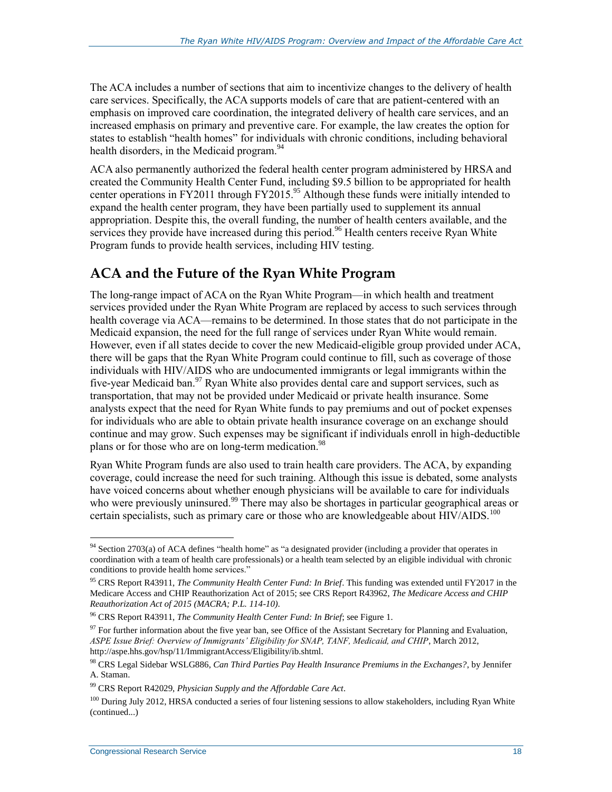The ACA includes a number of sections that aim to incentivize changes to the delivery of health care services. Specifically, the ACA supports models of care that are patient-centered with an emphasis on improved care coordination, the integrated delivery of health care services, and an increased emphasis on primary and preventive care. For example, the law creates the option for states to establish "health homes" for individuals with chronic conditions, including behavioral health disorders, in the Medicaid program.<sup>94</sup>

ACA also permanently authorized the federal health center program administered by HRSA and created the Community Health Center Fund, including \$9.5 billion to be appropriated for health center operations in FY2011 through FY2015.<sup>95</sup> Although these funds were initially intended to expand the health center program, they have been partially used to supplement its annual appropriation. Despite this, the overall funding, the number of health centers available, and the services they provide have increased during this period.<sup>96</sup> Health centers receive Ryan White Program funds to provide health services, including HIV testing.

### **ACA and the Future of the Ryan White Program**

The long-range impact of ACA on the Ryan White Program—in which health and treatment services provided under the Ryan White Program are replaced by access to such services through health coverage via ACA—remains to be determined. In those states that do not participate in the Medicaid expansion, the need for the full range of services under Ryan White would remain. However, even if all states decide to cover the new Medicaid-eligible group provided under ACA, there will be gaps that the Ryan White Program could continue to fill, such as coverage of those individuals with HIV/AIDS who are undocumented immigrants or legal immigrants within the five-year Medicaid ban.<sup>97</sup> Ryan White also provides dental care and support services, such as transportation, that may not be provided under Medicaid or private health insurance. Some analysts expect that the need for Ryan White funds to pay premiums and out of pocket expenses for individuals who are able to obtain private health insurance coverage on an exchange should continue and may grow. Such expenses may be significant if individuals enroll in high-deductible plans or for those who are on long-term medication.<sup>98</sup>

Ryan White Program funds are also used to train health care providers. The ACA, by expanding coverage, could increase the need for such training. Although this issue is debated, some analysts have voiced concerns about whether enough physicians will be available to care for individuals who were previously uninsured.<sup>99</sup> There may also be shortages in particular geographical areas or certain specialists, such as primary care or those who are knowledgeable about  $HIV/ALDS$ .<sup>100</sup>

 $\overline{a}$ <sup>94</sup> Section 2703(a) of ACA defines "health home" as "a designated provider (including a provider that operates in coordination with a team of health care professionals) or a health team selected by an eligible individual with chronic conditions to provide health home services."

<sup>95</sup> CRS Report R43911, *The Community Health Center Fund: In Brief*. This funding was extended until FY2017 in the Medicare Access and CHIP Reauthorization Act of 2015; see CRS Report R43962, *The Medicare Access and CHIP Reauthorization Act of 2015 (MACRA; P.L. 114-10)*.

<sup>96</sup> CRS Report R43911, *The Community Health Center Fund: In Brief*; see Figure 1.

 $97$  For further information about the five year ban, see Office of the Assistant Secretary for Planning and Evaluation, *ASPE Issue Brief: Overview of Immigrants' Eligibility for SNAP, TANF, Medicaid, and CHIP*, March 2012, http://aspe.hhs.gov/hsp/11/ImmigrantAccess/Eligibility/ib.shtml.

<sup>98</sup> CRS Legal Sidebar WSLG886, *Can Third Parties Pay Health Insurance Premiums in the Exchanges?*, by Jennifer A. Staman.

<sup>99</sup> CRS Report R42029, *Physician Supply and the Affordable Care Act*.

<sup>&</sup>lt;sup>100</sup> During July 2012, HRSA conducted a series of four listening sessions to allow stakeholders, including Ryan White (continued...)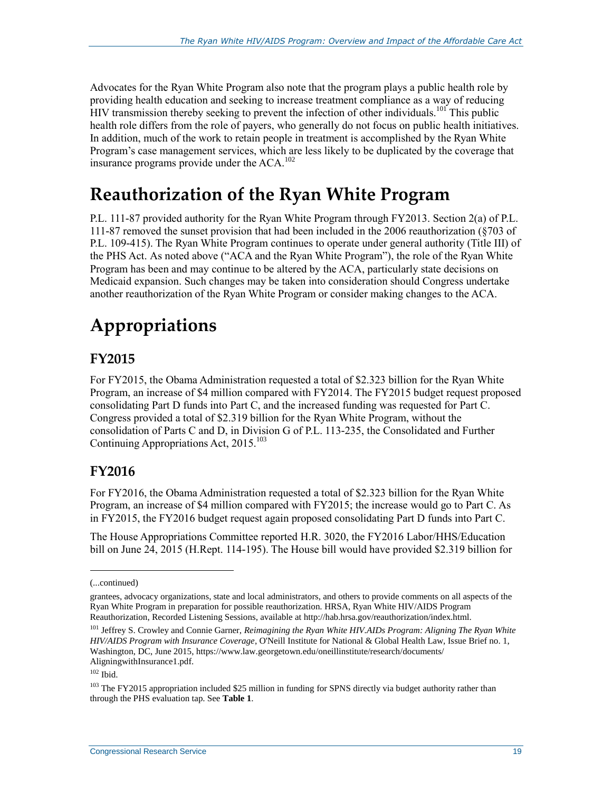Advocates for the Ryan White Program also note that the program plays a public health role by providing health education and seeking to increase treatment compliance as a way of reducing HIV transmission thereby seeking to prevent the infection of other individuals.<sup>101</sup> This public health role differs from the role of payers, who generally do not focus on public health initiatives. In addition, much of the work to retain people in treatment is accomplished by the Ryan White Program's case management services, which are less likely to be duplicated by the coverage that insurance programs provide under the  $ACA$ <sup>102</sup>

## **Reauthorization of the Ryan White Program**

P.L. 111-87 provided authority for the Ryan White Program through FY2013. Section 2(a) of P.L. 111-87 removed the sunset provision that had been included in the 2006 reauthorization (§703 of P.L. 109-415). The Ryan White Program continues to operate under general authority (Title III) of the PHS Act. As noted above (["ACA and the Ryan White Program"](#page-18-0)), the role of the Ryan White Program has been and may continue to be altered by the ACA, particularly state decisions on Medicaid expansion. Such changes may be taken into consideration should Congress undertake another reauthorization of the Ryan White Program or consider making changes to the ACA.

## **Appropriations**

#### **FY2015**

For FY2015, the Obama Administration requested a total of \$2.323 billion for the Ryan White Program, an increase of \$4 million compared with FY2014. The FY2015 budget request proposed consolidating Part D funds into Part C, and the increased funding was requested for Part C. Congress provided a total of \$2.319 billion for the Ryan White Program, without the consolidation of Parts C and D, in Division G of P.L. 113-235, the Consolidated and Further Continuing Appropriations Act, 2015.<sup>103</sup>

### **FY2016**

For FY2016, the Obama Administration requested a total of \$2.323 billion for the Ryan White Program, an increase of \$4 million compared with FY2015; the increase would go to Part C. As in FY2015, the FY2016 budget request again proposed consolidating Part D funds into Part C.

The House Appropriations Committee reported H.R. 3020, the FY2016 Labor/HHS/Education bill on June 24, 2015 (H.Rept. 114-195). The House bill would have provided \$2.319 billion for

l

<sup>(...</sup>continued)

grantees, advocacy organizations, state and local administrators, and others to provide comments on all aspects of the Ryan White Program in preparation for possible reauthorization. HRSA, Ryan White HIV/AIDS Program Reauthorization, Recorded Listening Sessions, available at http://hab.hrsa.gov/reauthorization/index.html.

<sup>&</sup>lt;sup>101</sup> Jeffrey S. Crowley and Connie Garner, *Reimagining the Ryan White HIV.AIDs Program: Aligning The Ryan White HIV/AIDS Program with Insurance Coverage*, O'Neill Institute for National & Global Health Law, Issue Brief no. 1, Washington, DC, June 2015, https://www.law.georgetown.edu/oneillinstitute/research/documents/ AligningwithInsurance1.pdf.

 $102$  Ibid.

<sup>&</sup>lt;sup>103</sup> The FY2015 appropriation included \$25 million in funding for SPNS directly via budget authority rather than through the PHS evaluation tap. See **[Table 1](#page-25-0)**.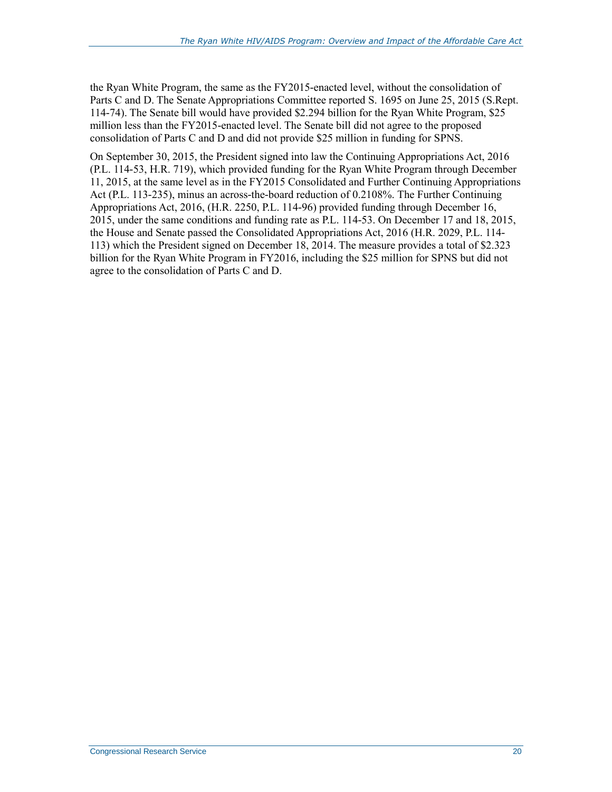the Ryan White Program, the same as the FY2015-enacted level, without the consolidation of Parts C and D. The Senate Appropriations Committee reported S. 1695 on June 25, 2015 (S.Rept. 114-74). The Senate bill would have provided \$2.294 billion for the Ryan White Program, \$25 million less than the FY2015-enacted level. The Senate bill did not agree to the proposed consolidation of Parts C and D and did not provide \$25 million in funding for SPNS.

On September 30, 2015, the President signed into law the Continuing Appropriations Act, 2016 (P.L. 114-53, H.R. 719), which provided funding for the Ryan White Program through December 11, 2015, at the same level as in the FY2015 Consolidated and Further Continuing Appropriations Act (P.L. 113-235), minus an across-the-board reduction of 0.2108%. The Further Continuing Appropriations Act, 2016, (H.R. 2250, P.L. 114-96) provided funding through December 16, 2015, under the same conditions and funding rate as P.L. 114-53. On December 17 and 18, 2015, the House and Senate passed the Consolidated Appropriations Act, 2016 (H.R. 2029, P.L. 114- 113) which the President signed on December 18, 2014. The measure provides a total of \$2.323 billion for the Ryan White Program in FY2016, including the \$25 million for SPNS but did not agree to the consolidation of Parts C and D.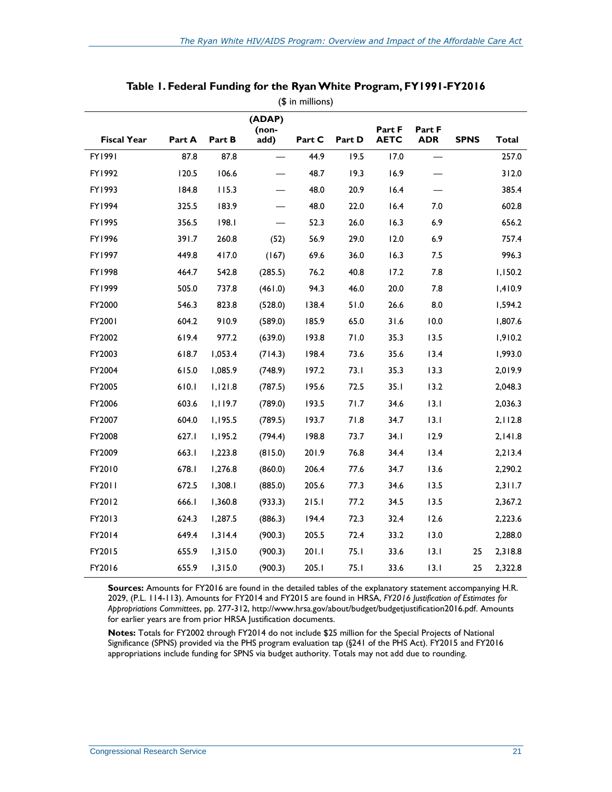<span id="page-25-0"></span>

| <b>Fiscal Year</b> | Part A | Part B  | (ADAP)<br>(non-<br>add)  | Part C | Part D | Part F<br><b>AETC</b> | Part F<br><b>ADR</b> | <b>SPNS</b> | <b>Total</b> |
|--------------------|--------|---------|--------------------------|--------|--------|-----------------------|----------------------|-------------|--------------|
| FY1991             | 87.8   | 87.8    | $\overline{\phantom{0}}$ | 44.9   | 19.5   | 17.0                  |                      |             | 257.0        |
| FY1992             | 120.5  | 106.6   |                          | 48.7   | 19.3   | 16.9                  |                      |             | 312.0        |
| FY1993             | 184.8  | 115.3   |                          | 48.0   | 20.9   | 16.4                  |                      |             | 385.4        |
|                    |        |         |                          |        |        |                       |                      |             |              |
| FY1994             | 325.5  | 183.9   |                          | 48.0   | 22.0   | 16.4                  | 7.0                  |             | 602.8        |
| FY1995             | 356.5  | 198.1   |                          | 52.3   | 26.0   | 16.3                  | 6.9                  |             | 656.2        |
| FY1996             | 391.7  | 260.8   | (52)                     | 56.9   | 29.0   | 12.0                  | 6.9                  |             | 757.4        |
| FY1997             | 449.8  | 417.0   | (167)                    | 69.6   | 36.0   | 16.3                  | 7.5                  |             | 996.3        |
| FY1998             | 464.7  | 542.8   | (285.5)                  | 76.2   | 40.8   | 17.2                  | 7.8                  |             | 1,150.2      |
| FY1999             | 505.0  | 737.8   | (461.0)                  | 94.3   | 46.0   | 20.0                  | 7.8                  |             | 1,410.9      |
| FY2000             | 546.3  | 823.8   | (528.0)                  | 138.4  | 51.0   | 26.6                  | 8.0                  |             | 1,594.2      |
| FY2001             | 604.2  | 910.9   | (589.0)                  | 185.9  | 65.0   | 31.6                  | 10.0                 |             | 1,807.6      |
| FY2002             | 619.4  | 977.2   | (639.0)                  | 193.8  | 71.0   | 35.3                  | 13.5                 |             | 1,910.2      |
| FY2003             | 618.7  | 1,053.4 | (714.3)                  | 198.4  | 73.6   | 35.6                  | 13.4                 |             | 1,993.0      |
| FY2004             | 615.0  | 1,085.9 | (748.9)                  | 197.2  | 73.1   | 35.3                  | 13.3                 |             | 2,019.9      |
| FY2005             | 610.1  | 1,121.8 | (787.5)                  | 195.6  | 72.5   | 35.1                  | 13.2                 |             | 2,048.3      |
| FY2006             | 603.6  | 1,119.7 | (789.0)                  | 193.5  | 71.7   | 34.6                  | 13.1                 |             | 2,036.3      |
| FY2007             | 604.0  | 1,195.5 | (789.5)                  | 193.7  | 71.8   | 34.7                  | 13.1                 |             | 2,112.8      |
| FY2008             | 627.I  | 1,195.2 | (794.4)                  | 198.8  | 73.7   | 34.1                  | 12.9                 |             | 2,141.8      |
| FY2009             | 663.1  | 1,223.8 | (815.0)                  | 201.9  | 76.8   | 34.4                  | 13.4                 |             | 2,213.4      |
| FY2010             | 678.I  | 1,276.8 | (860.0)                  | 206.4  | 77.6   | 34.7                  | 13.6                 |             | 2,290.2      |
| FY2011             | 672.5  | 1,308.1 | (885.0)                  | 205.6  | 77.3   | 34.6                  | 13.5                 |             | 2,311.7      |
| FY2012             | 666.I  | 1,360.8 | (933.3)                  | 215.1  | 77.2   | 34.5                  | 13.5                 |             | 2,367.2      |
| FY2013             | 624.3  | 1,287.5 | (886.3)                  | 194.4  | 72.3   | 32.4                  | 12.6                 |             | 2,223.6      |
| FY2014             | 649.4  | 1,314.4 | (900.3)                  | 205.5  | 72.4   | 33.2                  | 13.0                 |             | 2,288.0      |
| FY2015             | 655.9  | 1,315.0 | (900.3)                  | 201.1  | 75.1   | 33.6                  | 13.1                 | 25          | 2,318.8      |
| FY2016             | 655.9  | 1,315.0 | (900.3)                  | 205.1  | 75.1   | 33.6                  | 13.1                 | 25          | 2,322.8      |

#### **Table 1. Federal Funding for the Ryan White Program, FY1991-FY2016** (\$ in millions)

**Sources:** Amounts for FY2016 are found in the detailed tables of the explanatory statement accompanying H.R. 2029, (P.L. 114-113). Amounts for FY2014 and FY2015 are found in HRSA, *FY2016 Justification of Estimates for Appropriations Committees*, pp. 277-312, http://www.hrsa.gov/about/budget/budgetjustification2016.pdf. Amounts for earlier years are from prior HRSA Justification documents.

**Notes:** Totals for FY2002 through FY2014 do not include \$25 million for the Special Projects of National Significance (SPNS) provided via the PHS program evaluation tap (§241 of the PHS Act). FY2015 and FY2016 appropriations include funding for SPNS via budget authority. Totals may not add due to rounding.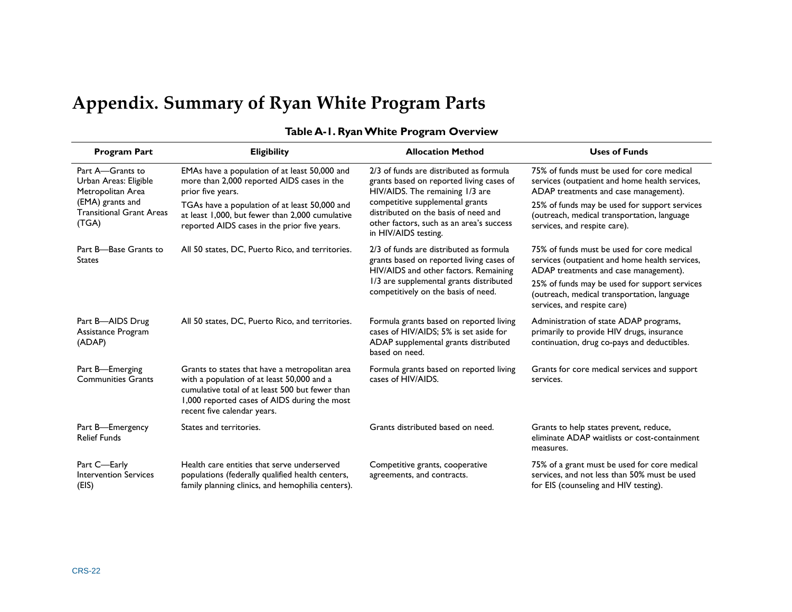## **Appendix. Summary of Ryan White Program Parts**

<span id="page-26-0"></span>

| <b>Program Part</b>                                            | <b>Eligibility</b>                                                                                                                                                                                                             | <b>Allocation Method</b>                                                                                                                    | <b>Uses of Funds</b>                                                                                                                  |  |
|----------------------------------------------------------------|--------------------------------------------------------------------------------------------------------------------------------------------------------------------------------------------------------------------------------|---------------------------------------------------------------------------------------------------------------------------------------------|---------------------------------------------------------------------------------------------------------------------------------------|--|
| Part A-Grants to<br>Urban Areas: Eligible<br>Metropolitan Area | EMAs have a population of at least 50,000 and<br>more than 2,000 reported AIDS cases in the<br>prior five years.                                                                                                               | 2/3 of funds are distributed as formula<br>grants based on reported living cases of<br>HIV/AIDS. The remaining 1/3 are                      | 75% of funds must be used for core medical<br>services (outpatient and home health services,<br>ADAP treatments and case management). |  |
| (EMA) grants and<br><b>Transitional Grant Areas</b><br>(TGA)   | TGAs have a population of at least 50,000 and<br>at least 1,000, but fewer than 2,000 cumulative<br>reported AIDS cases in the prior five years.                                                                               | competitive supplemental grants<br>distributed on the basis of need and<br>other factors, such as an area's success<br>in HIV/AIDS testing. | 25% of funds may be used for support services<br>(outreach, medical transportation, language<br>services, and respite care).          |  |
| Part B-Base Grants to<br><b>States</b>                         | All 50 states, DC, Puerto Rico, and territories.                                                                                                                                                                               | 2/3 of funds are distributed as formula<br>grants based on reported living cases of<br>HIV/AIDS and other factors. Remaining                | 75% of funds must be used for core medical<br>services (outpatient and home health services,<br>ADAP treatments and case management). |  |
|                                                                |                                                                                                                                                                                                                                | 1/3 are supplemental grants distributed<br>competitively on the basis of need.                                                              | 25% of funds may be used for support services<br>(outreach, medical transportation, language<br>services, and respite care)           |  |
| Part B-AIDS Drug<br>Assistance Program<br>(ADAP)               | All 50 states, DC, Puerto Rico, and territories.                                                                                                                                                                               | Formula grants based on reported living<br>cases of HIV/AIDS; 5% is set aside for<br>ADAP supplemental grants distributed<br>based on need. | Administration of state ADAP programs,<br>primarily to provide HIV drugs, insurance<br>continuation, drug co-pays and deductibles.    |  |
| Part B-Emerging<br><b>Communities Grants</b>                   | Grants to states that have a metropolitan area<br>with a population of at least 50,000 and a<br>cumulative total of at least 500 but fewer than<br>1,000 reported cases of AIDS during the most<br>recent five calendar years. | Formula grants based on reported living<br>cases of HIV/AIDS.                                                                               | Grants for core medical services and support<br>services.                                                                             |  |
| Part B-Emergency<br><b>Relief Funds</b>                        | States and territories.                                                                                                                                                                                                        | Grants distributed based on need.                                                                                                           | Grants to help states prevent, reduce,<br>eliminate ADAP waitlists or cost-containment<br>measures.                                   |  |
| Part C-Early<br><b>Intervention Services</b><br>(EIS)          | Health care entities that serve underserved<br>populations (federally qualified health centers,<br>family planning clinics, and hemophilia centers).                                                                           | Competitive grants, cooperative<br>agreements, and contracts.                                                                               | 75% of a grant must be used for core medical<br>services, and not less than 50% must be used<br>for EIS (counseling and HIV testing). |  |

#### **Table A-1. Ryan White Program Overview**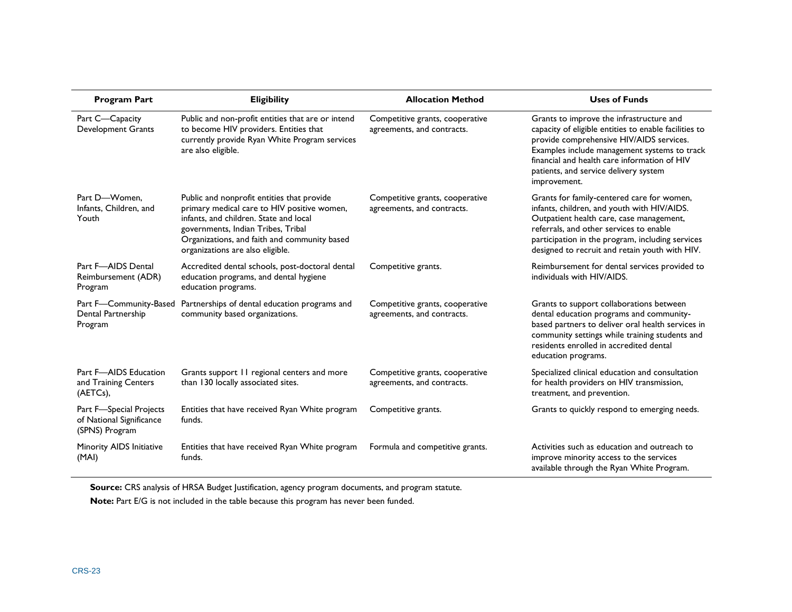| <b>Program Part</b>                                                   | <b>Eligibility</b>                                                                                                                                                                                                                                            | <b>Allocation Method</b>                                      | <b>Uses of Funds</b>                                                                                                                                                                                                                                                                                   |
|-----------------------------------------------------------------------|---------------------------------------------------------------------------------------------------------------------------------------------------------------------------------------------------------------------------------------------------------------|---------------------------------------------------------------|--------------------------------------------------------------------------------------------------------------------------------------------------------------------------------------------------------------------------------------------------------------------------------------------------------|
| Part C-Capacity<br><b>Development Grants</b>                          | Public and non-profit entities that are or intend<br>to become HIV providers. Entities that<br>currently provide Ryan White Program services<br>are also eligible.                                                                                            | Competitive grants, cooperative<br>agreements, and contracts. | Grants to improve the infrastructure and<br>capacity of eligible entities to enable facilities to<br>provide comprehensive HIV/AIDS services.<br>Examples include management systems to track<br>financial and health care information of HIV<br>patients, and service delivery system<br>improvement. |
| Part D-Women.<br>Infants, Children, and<br>Youth                      | Public and nonprofit entities that provide<br>primary medical care to HIV positive women,<br>infants, and children. State and local<br>governments, Indian Tribes, Tribal<br>Organizations, and faith and community based<br>organizations are also eligible. | Competitive grants, cooperative<br>agreements, and contracts. | Grants for family-centered care for women,<br>infants, children, and youth with HIV/AIDS.<br>Outpatient health care, case management,<br>referrals, and other services to enable<br>participation in the program, including services<br>designed to recruit and retain youth with HIV.                 |
| Part F-AIDS Dental<br>Reimbursement (ADR)<br>Program                  | Accredited dental schools, post-doctoral dental<br>education programs, and dental hygiene<br>education programs.                                                                                                                                              | Competitive grants.                                           | Reimbursement for dental services provided to<br>individuals with HIV/AIDS.                                                                                                                                                                                                                            |
| Part F-Community-Based<br>Dental Partnership<br>Program               | Partnerships of dental education programs and<br>community based organizations.                                                                                                                                                                               | Competitive grants, cooperative<br>agreements, and contracts. | Grants to support collaborations between<br>dental education programs and community-<br>based partners to deliver oral health services in<br>community settings while training students and<br>residents enrolled in accredited dental<br>education programs.                                          |
| Part F-AIDS Education<br>and Training Centers<br>$(AETCs)$ ,          | Grants support 11 regional centers and more<br>than 130 locally associated sites.                                                                                                                                                                             | Competitive grants, cooperative<br>agreements, and contracts. | Specialized clinical education and consultation<br>for health providers on HIV transmission,<br>treatment, and prevention.                                                                                                                                                                             |
| Part F-Special Projects<br>of National Significance<br>(SPNS) Program | Entities that have received Ryan White program<br>funds.                                                                                                                                                                                                      | Competitive grants.                                           | Grants to quickly respond to emerging needs.                                                                                                                                                                                                                                                           |
| Minority AIDS Initiative<br>(MAI)                                     | Entities that have received Ryan White program<br>funds.                                                                                                                                                                                                      | Formula and competitive grants.                               | Activities such as education and outreach to<br>improve minority access to the services<br>available through the Ryan White Program.                                                                                                                                                                   |

**Source:** CRS analysis of HRSA Budget Justification, agency program documents, and program statute. **Note:** Part E/G is not included in the table because this program has never been funded.